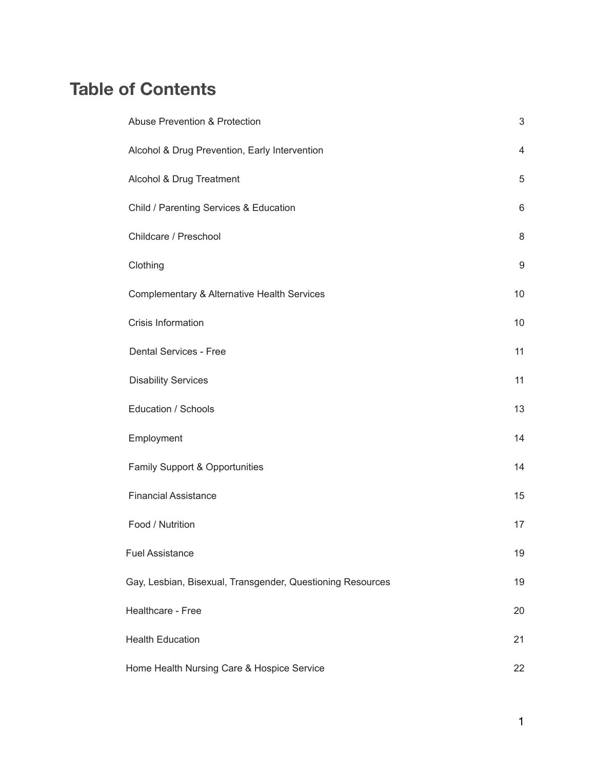# **Table of Contents**

| <b>Abuse Prevention &amp; Protection</b>                   | $\mathsf 3$ |
|------------------------------------------------------------|-------------|
| Alcohol & Drug Prevention, Early Intervention              | 4           |
| Alcohol & Drug Treatment                                   | 5           |
| Child / Parenting Services & Education                     | 6           |
| Childcare / Preschool                                      | 8           |
| Clothing                                                   | 9           |
| <b>Complementary &amp; Alternative Health Services</b>     | 10          |
| Crisis Information                                         | 10          |
| Dental Services - Free                                     | 11          |
| <b>Disability Services</b>                                 | 11          |
| Education / Schools                                        | 13          |
| Employment                                                 | 14          |
| Family Support & Opportunities                             | 14          |
| <b>Financial Assistance</b>                                | 15          |
| Food / Nutrition                                           | 17          |
| <b>Fuel Assistance</b>                                     | 19          |
| Gay, Lesbian, Bisexual, Transgender, Questioning Resources | 19          |
| Healthcare - Free                                          | 20          |
| <b>Health Education</b>                                    | 21          |
| Home Health Nursing Care & Hospice Service                 | 22          |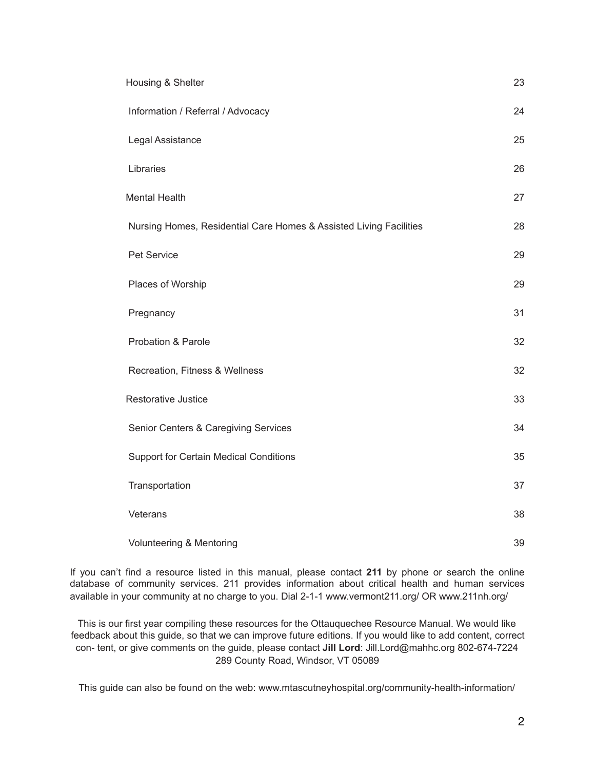| Housing & Shelter                                                  | 23 |
|--------------------------------------------------------------------|----|
| Information / Referral / Advocacy                                  | 24 |
| Legal Assistance                                                   | 25 |
| Libraries                                                          | 26 |
| <b>Mental Health</b>                                               | 27 |
| Nursing Homes, Residential Care Homes & Assisted Living Facilities | 28 |
| Pet Service                                                        | 29 |
| Places of Worship                                                  | 29 |
| Pregnancy                                                          | 31 |
| Probation & Parole                                                 | 32 |
| Recreation, Fitness & Wellness                                     | 32 |
| <b>Restorative Justice</b>                                         | 33 |
| Senior Centers & Caregiving Services                               | 34 |
| <b>Support for Certain Medical Conditions</b>                      | 35 |
| Transportation                                                     | 37 |
| Veterans                                                           | 38 |
| Volunteering & Mentoring                                           | 39 |

If you can't find a resource listed in this manual, please contact **211** by phone or search the online database of community services. 211 provides information about critical health and human services available in your community at no charge to you. Dial 2-1-1 www.vermont211.org/ OR www.211nh.org/

This is our first year compiling these resources for the Ottauquechee Resource Manual. We would like feedback about this guide, so that we can improve future editions. If you would like to add content, correct con- tent, or give comments on the guide, please contact **Jill Lord**: Jill.Lord@mahhc.org 802-674-7224 289 County Road, Windsor, VT 05089

This guide can also be found on the web: www.mtascutneyhospital.org/community-health-information/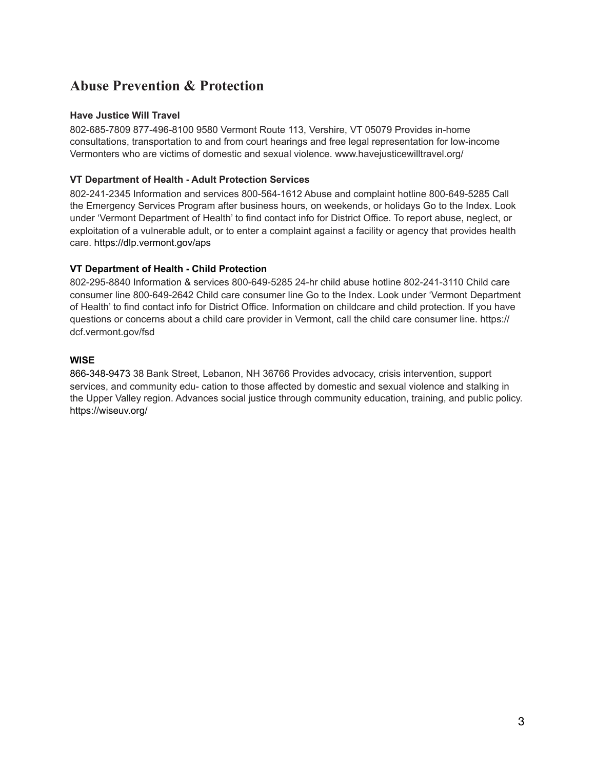## **Abuse Prevention & Protection**

## **Have Justice Will Travel**

802-685-7809 877-496-8100 9580 Vermont Route 113, Vershire, VT 05079 Provides in-home consultations, transportation to and from court hearings and free legal representation for low-income Vermonters who are victims of domestic and sexual violence. www.havejusticewilltravel.org/

## **VT Department of Health - Adult Protection Services**

802-241-2345 Information and services 800-564-1612 Abuse and complaint hotline 800-649-5285 Call the Emergency Services Program after business hours, on weekends, or holidays Go to the Index. Look under 'Vermont Department of Health' to find contact info for District Office. To report abuse, neglect, or exploitation of a vulnerable adult, or to enter a complaint against a facility or agency that provides health care. https://dlp.vermont.gov/aps

## **VT Department of Health - Child Protection**

802-295-8840 Information & services 800-649-5285 24-hr child abuse hotline 802-241-3110 Child care consumer line 800-649-2642 Child care consumer line Go to the Index. Look under 'Vermont Department of Health' to find contact info for District Office. Information on childcare and child protection. If you have questions or concerns about a child care provider in Vermont, call the child care consumer line. [https://](https://dcf.vermont.gov/fsd) [dcf.vermont.gov/fsd](https://dcf.vermont.gov/fsd)

## **WISE**

866-348-9473 38 Bank Street, Lebanon, NH 36766 Provides advocacy, crisis intervention, support services, and community edu- cation to those affected by domestic and sexual violence and stalking in the Upper Valley region. Advances social justice through community education, training, and public policy. <https://wiseuv.org/>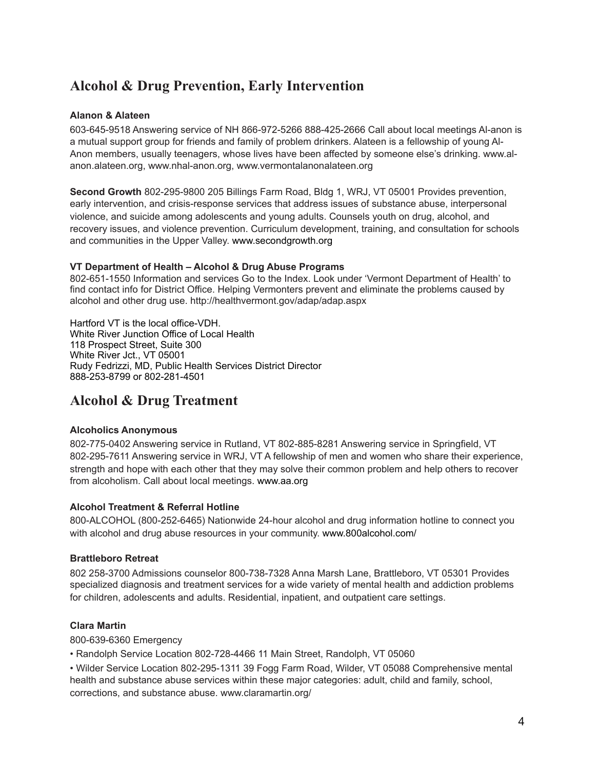## **Alcohol & Drug Prevention, Early Intervention**

#### **Alanon & Alateen**

603-645-9518 Answering service of NH 866-972-5266 888-425-2666 Call about local meetings Al-anon is a mutual support group for friends and family of problem drinkers. Alateen is a fellowship of young Al-Anon members, usually teenagers, whose lives have been affected by someone else's drinking. www.alanon.alateen.org, www.nhal-anon.org, www.vermontalanonalateen.org

**Second Growth** 802-295-9800 205 Billings Farm Road, Bldg 1, WRJ, VT 05001 Provides prevention, early intervention, and crisis-response services that address issues of substance abuse, interpersonal violence, and suicide among adolescents and young adults. Counsels youth on drug, alcohol, and recovery issues, and violence prevention. Curriculum development, training, and consultation for schools and communities in the Upper Valley. [www.secondgrowth.org](http://www.secondgrowth.org)

#### **VT Department of Health – Alcohol & Drug Abuse Programs**

802-651-1550 Information and services Go to the Index. Look under 'Vermont Department of Health' to find contact info for District Office. Helping Vermonters prevent and eliminate the problems caused by alcohol and other drug use. http://healthvermont.gov/adap/adap.aspx

Hartford VT is the local office-VDH. White River Junction Office of Local Health 118 Prospect Street, Suite 300 White River Jct., VT 05001 Rudy Fedrizzi, MD, Public Health Services District Director 888-253-8799 or 802-281-4501

## **Alcohol & Drug Treatment**

## **Alcoholics Anonymous**

802-775-0402 Answering service in Rutland, VT 802-885-8281 Answering service in Springfield, VT 802-295-7611 Answering service in WRJ, VT A fellowship of men and women who share their experience, strength and hope with each other that they may solve their common problem and help others to recover from alcoholism. Call about local meetings. [www.aa.org](http://www.aa.org)

#### **Alcohol Treatment & Referral Hotline**

800-ALCOHOL (800-252-6465) Nationwide 24-hour alcohol and drug information hotline to connect you with alcohol and drug abuse resources in your community. [www.800alcohol.com/](http://www.800alcohol.com/)

#### **Brattleboro Retreat**

802 258-3700 Admissions counselor 800-738-7328 Anna Marsh Lane, Brattleboro, VT 05301 Provides specialized diagnosis and treatment services for a wide variety of mental health and addiction problems for children, adolescents and adults. Residential, inpatient, and outpatient care settings.

## **Clara Martin**

800-639-6360 Emergency

• Randolph Service Location 802-728-4466 11 Main Street, Randolph, VT 05060

• Wilder Service Location 802-295-1311 39 Fogg Farm Road, Wilder, VT 05088 Comprehensive mental health and substance abuse services within these major categories: adult, child and family, school, corrections, and substance abuse. www.claramartin.org/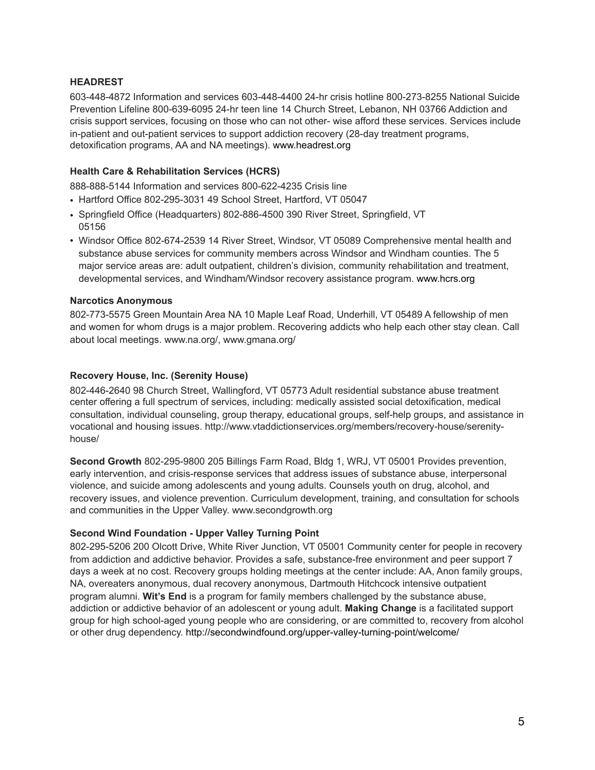## **HEADREST**

603-448-4872 Information and services 603-448-4400 24-hr crisis hotline 800-273-8255 National Suicide Prevention Lifeline 800-639-6095 24-hr teen line 14 Church Street, Lebanon, NH 03766 Addiction and crisis support services, focusing on those who can not other- wise afford these services. Services include in-patient and out-patient services to support addiction recovery (28-day treatment programs, detoxification programs, AA and NA meetings). [www.headrest.org](http://www.headrest.org)

## **Health Care & Rehabilitation Services (HCRS)**

888-888-5144 Information and services 800-622-4235 Crisis line

- Hartford Office 802-295-3031 49 School Street, Hartford, VT 05047
- Springfield Office (Headquarters) 802-886-4500 390 River Street, Springfield, VT 05156
- Windsor Office 802-674-2539 14 River Street, Windsor, VT 05089 Comprehensive mental health and substance abuse services for community members across Windsor and Windham counties. The 5 major service areas are: adult outpatient, children's division, community rehabilitation and treatment, developmental services, and Windham/Windsor recovery assistance program. [www.hcrs.org](http://www.hcrs.org)

#### **Narcotics Anonymous**

802-773-5575 Green Mountain Area NA 10 Maple Leaf Road, Underhill, VT 05489 A fellowship of men and women for whom drugs is a major problem. Recovering addicts who help each other stay clean. Call about local meetings. www.na.org/, www.gmana.org/

## **Recovery House, Inc. (Serenity House)**

802-446-2640 98 Church Street, Wallingford, VT 05773 Adult residential substance abuse treatment center offering a full spectrum of services, including: medically assisted social detoxification, medical consultation, individual counseling, group therapy, educational groups, self-help groups, and assistance in vocational and housing issues. [http://www.vtaddictionservices.org/members/recovery-house/serenity](http://www.vtaddictionservices.org/members/recovery-house/serenity-house/)[house/](http://www.vtaddictionservices.org/members/recovery-house/serenity-house/)

**Second Growth** 802-295-9800 205 Billings Farm Road, Bldg 1, WRJ, VT 05001 Provides prevention, early intervention, and crisis-response services that address issues of substance abuse, interpersonal violence, and suicide among adolescents and young adults. Counsels youth on drug, alcohol, and recovery issues, and violence prevention. Curriculum development, training, and consultation for schools and communities in the Upper Valley. [www.secondgrowth.org](http://www.secondgrowth.org)

#### **Second Wind Foundation - Upper Valley Turning Point**

802-295-5206 200 Olcott Drive, White River Junction, VT 05001 Community center for people in recovery from addiction and addictive behavior. Provides a safe, substance-free environment and peer support 7 days a week at no cost. Recovery groups holding meetings at the center include: AA, Anon family groups, NA, overeaters anonymous, dual recovery anonymous, Dartmouth Hitchcock intensive outpatient program alumni. **Wit's End** is a program for family members challenged by the substance abuse, addiction or addictive behavior of an adolescent or young adult. **Making Change** is a facilitated support group for high school-aged young people who are considering, or are committed to, recovery from alcohol or other drug dependency.<http://secondwindfound.org/upper-valley-turning-point/welcome/>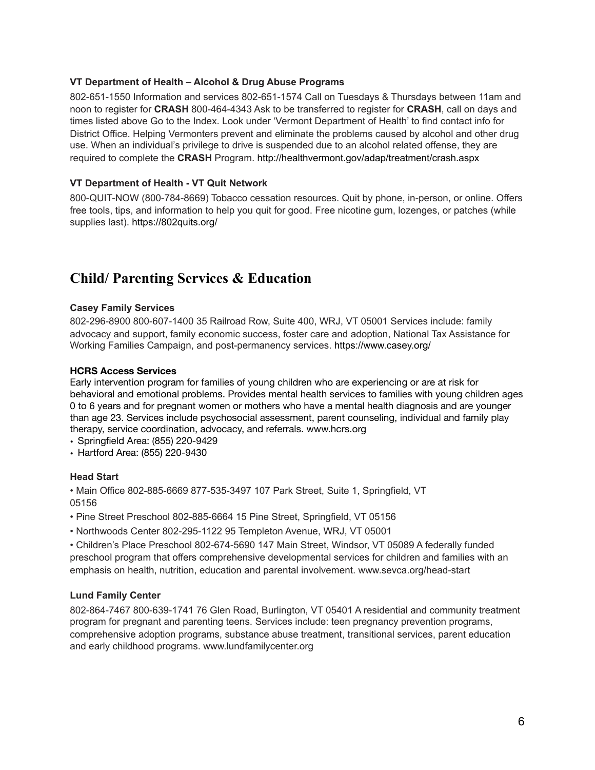#### **VT Department of Health – Alcohol & Drug Abuse Programs**

802-651-1550 Information and services 802-651-1574 Call on Tuesdays & Thursdays between 11am and noon to register for **CRASH** 800-464-4343 Ask to be transferred to register for **CRASH**, call on days and times listed above Go to the Index. Look under 'Vermont Department of Health' to find contact info for District Office. Helping Vermonters prevent and eliminate the problems caused by alcohol and other drug use. When an individual's privilege to drive is suspended due to an alcohol related offense, they are required to complete the **CRASH** Program. <http://healthvermont.gov/adap/treatment/crash.aspx>

#### **VT Department of Health - VT Quit Network**

800-QUIT-NOW (800-784-8669) Tobacco cessation resources. Quit by phone, in-person, or online. Offers free tools, tips, and information to help you quit for good. Free nicotine gum, lozenges, or patches (while supplies last). <https://802quits.org/>

## **Child/ Parenting Services & Education**

#### **Casey Family Services**

802-296-8900 800-607-1400 35 Railroad Row, Suite 400, WRJ, VT 05001 Services include: family advocacy and support, family economic success, foster care and adoption, National Tax Assistance for Working Families Campaign, and post-permanency services.<https://www.casey.org/>

#### **HCRS Access Services**

Early intervention program for families of young children who are experiencing or are at risk for behavioral and emotional problems. Provides mental health services to families with young children ages 0 to 6 years and for pregnant women or mothers who have a mental health diagnosis and are younger than age 23. Services include psychosocial assessment, parent counseling, individual and family play therapy, service coordination, advocacy, and referrals. [www.hcrs.org](http://www.hcrs.org)

- Springfield Area: (855) 220-9429
- Hartford Area: (855) 220-9430

#### **Head Start**

• Main Office 802-885-6669 877-535-3497 107 Park Street, Suite 1, Springfield, VT 05156

- Pine Street Preschool 802-885-6664 15 Pine Street, Springfield, VT 05156
- Northwoods Center 802-295-1122 95 Templeton Avenue, WRJ, VT 05001

• Children's Place Preschool 802-674-5690 147 Main Street, Windsor, VT 05089 A federally funded preschool program that offers comprehensive developmental services for children and families with an emphasis on health, nutrition, education and parental involvement. www.sevca.org/head-start

#### **Lund Family Center**

802-864-7467 800-639-1741 76 Glen Road, Burlington, VT 05401 A residential and community treatment program for pregnant and parenting teens. Services include: teen pregnancy prevention programs, comprehensive adoption programs, substance abuse treatment, transitional services, parent education and early childhood programs. www.lundfamilycenter.org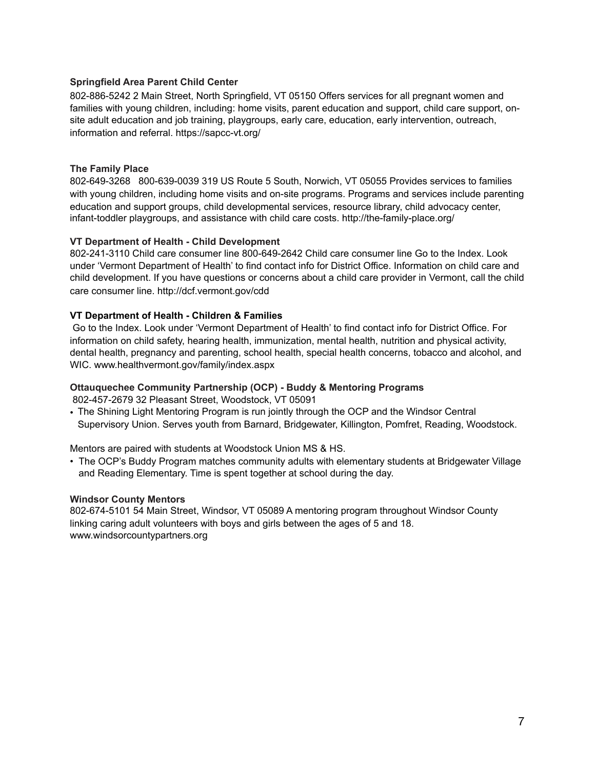#### **Springfield Area Parent Child Center**

802-886-5242 2 Main Street, North Springfield, VT 05150 Offers services for all pregnant women and families with young children, including: home visits, parent education and support, child care support, onsite adult education and job training, playgroups, early care, education, early intervention, outreach, information and referral. <https://sapcc-vt.org/>

#### **The Family Place**

802-649-3268 800-639-0039 319 US Route 5 South, Norwich, VT 05055 Provides services to families with young children, including home visits and on-site programs. Programs and services include parenting education and support groups, child developmental services, resource library, child advocacy center, infant-toddler playgroups, and assistance with child care costs. http://the-family-place.org/

#### **VT Department of Health - Child Development**

802-241-3110 Child care consumer line 800-649-2642 Child care consumer line Go to the Index. Look under 'Vermont Department of Health' to find contact info for District Office. Information on child care and child development. If you have questions or concerns about a child care provider in Vermont, call the child care consumer line. http://dcf.vermont.gov/cdd

#### **VT Department of Health - Children & Families**

 Go to the Index. Look under 'Vermont Department of Health' to find contact info for District Office. For information on child safety, hearing health, immunization, mental health, nutrition and physical activity, dental health, pregnancy and parenting, school health, special health concerns, tobacco and alcohol, and WIC. www.healthvermont.gov/family/index.aspx

## **Ottauquechee Community Partnership (OCP) - Buddy & Mentoring Programs**

802-457-2679 32 Pleasant Street, Woodstock, VT 05091

• The Shining Light Mentoring Program is run jointly through the OCP and the Windsor Central Supervisory Union. Serves youth from Barnard, Bridgewater, Killington, Pomfret, Reading, Woodstock.

Mentors are paired with students at Woodstock Union MS & HS.

• The OCP's Buddy Program matches community adults with elementary students at Bridgewater Village and Reading Elementary. Time is spent together at school during the day.

#### **Windsor County Mentors**

802-674-5101 54 Main Street, Windsor, VT 05089 A mentoring program throughout Windsor County linking caring adult volunteers with boys and girls between the ages of 5 and 18. [www.windsorcountypartners.org](http://www.windsorcountypartners.org)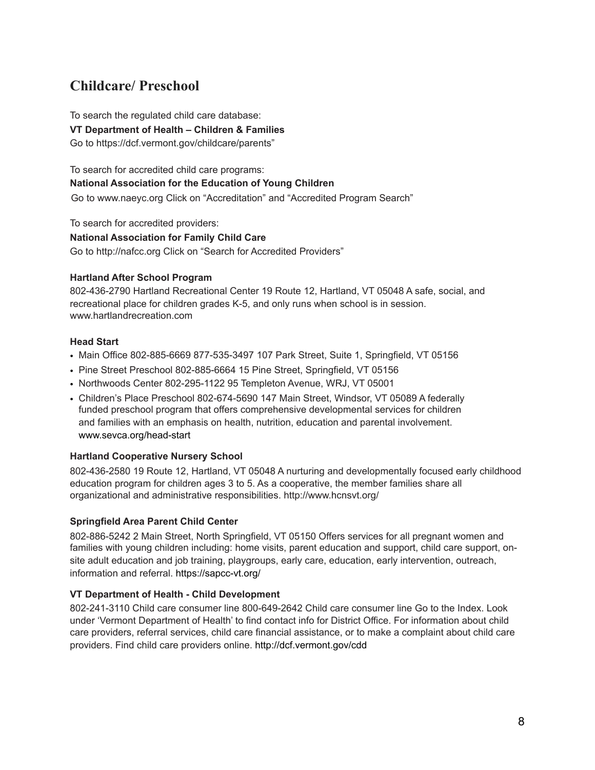## **Childcare/ Preschool**

To search the regulated child care database:

**VT Department of Health – Children & Families** 

Go to<https://dcf.vermont.gov/childcare/parents>"

To search for accredited child care programs: **National Association for the Education of Young Children**  Go to www.naeyc.org Click on "Accreditation" and "Accredited Program Search"

To search for accredited providers:

**National Association for Family Child Care**  Go to http://nafcc.org Click on "Search for Accredited Providers"

## **Hartland After School Program**

802-436-2790 Hartland Recreational Center 19 Route 12, Hartland, VT 05048 A safe, social, and recreational place for children grades K-5, and only runs when school is in session. www.hartlandrecreation.com

## **Head Start**

- Main Office 802-885-6669 877-535-3497 107 Park Street, Suite 1, Springfield, VT 05156
- Pine Street Preschool 802-885-6664 15 Pine Street, Springfield, VT 05156
- Northwoods Center 802-295-1122 95 Templeton Avenue, WRJ, VT 05001
- Children's Place Preschool 802-674-5690 147 Main Street, Windsor, VT 05089 A federally funded preschool program that offers comprehensive developmental services for children and families with an emphasis on health, nutrition, education and parental involvement. [www.sevca.org/head-start](http://www.sevca.org/head-start)

## **Hartland Cooperative Nursery School**

802-436-2580 19 Route 12, Hartland, VT 05048 A nurturing and developmentally focused early childhood education program for children ages 3 to 5. As a cooperative, the member families share all organizational and administrative responsibilities. http://www.hcnsvt.org/

## **Springfield Area Parent Child Center**

802-886-5242 2 Main Street, North Springfield, VT 05150 Offers services for all pregnant women and families with young children including: home visits, parent education and support, child care support, onsite adult education and job training, playgroups, early care, education, early intervention, outreach, information and referral. <https://sapcc-vt.org/>

## **VT Department of Health - Child Development**

802-241-3110 Child care consumer line 800-649-2642 Child care consumer line Go to the Index. Look under 'Vermont Department of Health' to find contact info for District Office. For information about child care providers, referral services, child care financial assistance, or to make a complaint about child care providers. Find child care providers online. <http://dcf.vermont.gov/cdd>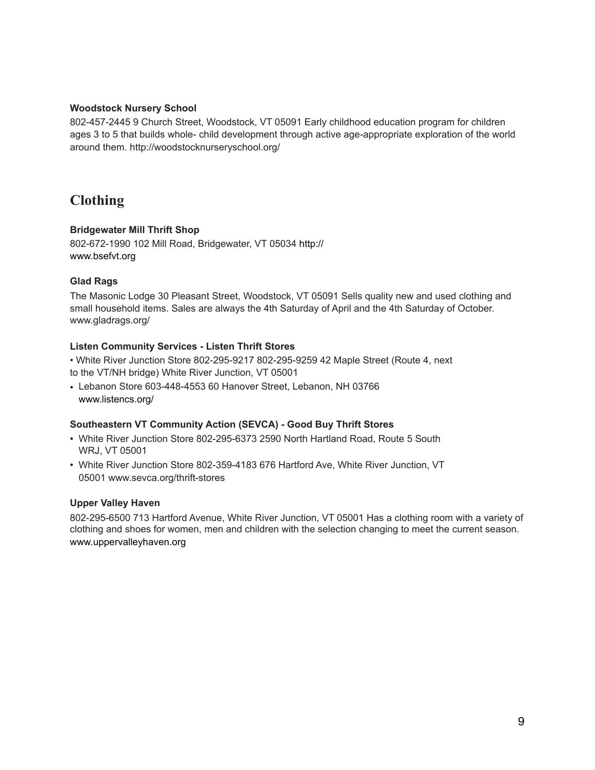#### **Woodstock Nursery School**

802-457-2445 9 Church Street, Woodstock, VT 05091 Early childhood education program for children ages 3 to 5 that builds whole- child development through active age-appropriate exploration of the world around them. http://woodstocknurseryschool.org/

## **Clothing**

## **Bridgewater Mill Thrift Shop**

802-672-1990 102 Mill Road, Bridgewater, VT 05034 [http://](http://www.bsefvt.org) [www.bsefvt.org](http://www.bsefvt.org) 

## **Glad Rags**

The Masonic Lodge 30 Pleasant Street, Woodstock, VT 05091 Sells quality new and used clothing and small household items. Sales are always the 4th Saturday of April and the 4th Saturday of October. www.gladrags.org/

#### **Listen Community Services - Listen Thrift Stores**

• White River Junction Store 802-295-9217 802-295-9259 42 Maple Street (Route 4, next to the VT/NH bridge) White River Junction, VT 05001

• Lebanon Store 603-448-4553 60 Hanover Street, Lebanon, NH 03766 [www.listencs.org/](http://www.listencs.org/)

#### **Southeastern VT Community Action (SEVCA) - Good Buy Thrift Stores**

- White River Junction Store 802-295-6373 2590 North Hartland Road, Route 5 South WRJ, VT 05001
- White River Junction Store 802-359-4183 676 Hartford Ave, White River Junction, VT 05001 www.sevca.org/thrift-stores

#### **Upper Valley Haven**

802-295-6500 713 Hartford Avenue, White River Junction, VT 05001 Has a clothing room with a variety of clothing and shoes for women, men and children with the selection changing to meet the current season. [www.uppervalleyhaven.org](http://www.uppervalleyhaven.org)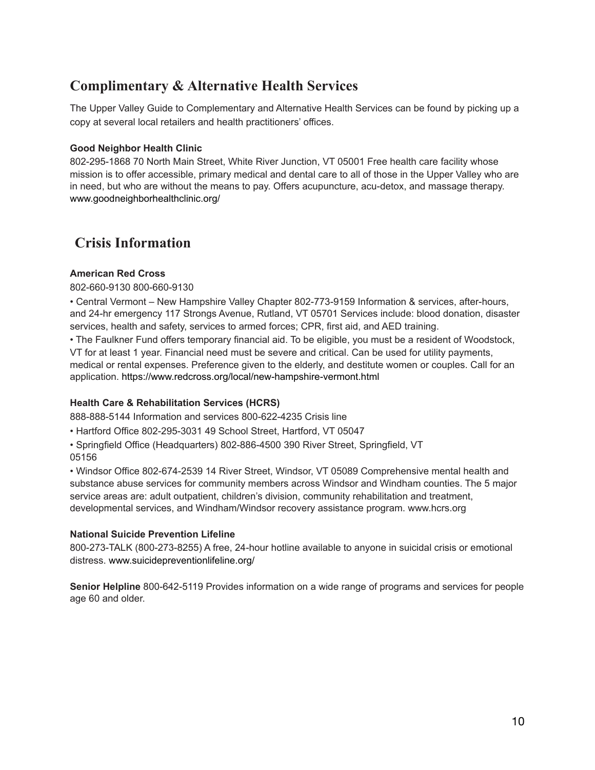## **Complimentary & Alternative Health Services**

The Upper Valley Guide to Complementary and Alternative Health Services can be found by picking up a copy at several local retailers and health practitioners' offices.

#### **Good Neighbor Health Clinic**

802-295-1868 70 North Main Street, White River Junction, VT 05001 Free health care facility whose mission is to offer accessible, primary medical and dental care to all of those in the Upper Valley who are in need, but who are without the means to pay. Offers acupuncture, acu-detox, and massage therapy. [www.goodneighborhealthclinic.org/](http://www.goodneighborhealthclinic.org/) 

## **Crisis Information**

## **American Red Cross**

802-660-9130 800-660-9130

• Central Vermont – New Hampshire Valley Chapter 802-773-9159 Information & services, after-hours, and 24-hr emergency 117 Strongs Avenue, Rutland, VT 05701 Services include: blood donation, disaster services, health and safety, services to armed forces; CPR, first aid, and AED training.

• The Faulkner Fund offers temporary financial aid. To be eligible, you must be a resident of Woodstock, VT for at least 1 year. Financial need must be severe and critical. Can be used for utility payments, medical or rental expenses. Preference given to the elderly, and destitute women or couples. Call for an application.<https://www.redcross.org/local/new-hampshire-vermont.html>

#### **Health Care & Rehabilitation Services (HCRS)**

888-888-5144 Information and services 800-622-4235 Crisis line

• Hartford Office 802-295-3031 49 School Street, Hartford, VT 05047

• Springfield Office (Headquarters) 802-886-4500 390 River Street, Springfield, VT 05156

• Windsor Office 802-674-2539 14 River Street, Windsor, VT 05089 Comprehensive mental health and substance abuse services for community members across Windsor and Windham counties. The 5 major service areas are: adult outpatient, children's division, community rehabilitation and treatment, developmental services, and Windham/Windsor recovery assistance program. www.hcrs.org

#### **National Suicide Prevention Lifeline**

800-273-TALK (800-273-8255) A free, 24-hour hotline available to anyone in suicidal crisis or emotional distress. [www.suicidepreventionlifeline.org/](http://www.suicidepreventionlifeline.org/)

**Senior Helpline** 800-642-5119 Provides information on a wide range of programs and services for people age 60 and older.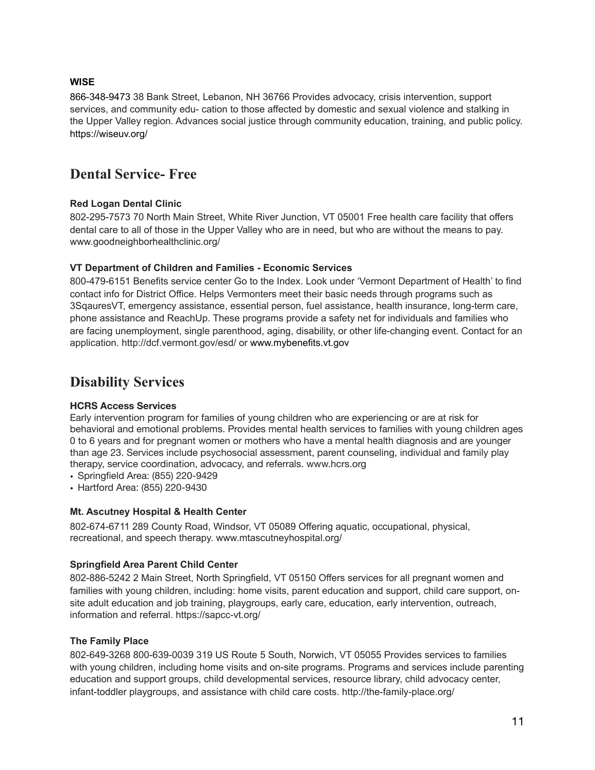## **WISE**

866-348-9473 38 Bank Street, Lebanon, NH 36766 Provides advocacy, crisis intervention, support services, and community edu- cation to those affected by domestic and sexual violence and stalking in the Upper Valley region. Advances social justice through community education, training, and public policy. <https://wiseuv.org/>

## **Dental Service- Free**

## **Red Logan Dental Clinic**

802-295-7573 70 North Main Street, White River Junction, VT 05001 Free health care facility that offers dental care to all of those in the Upper Valley who are in need, but who are without the means to pay. www.goodneighborhealthclinic.org/

## **VT Department of Children and Families - Economic Services**

800-479-6151 Benefits service center Go to the Index. Look under 'Vermont Department of Health' to find contact info for District Office. Helps Vermonters meet their basic needs through programs such as 3SqauresVT, emergency assistance, essential person, fuel assistance, health insurance, long-term care, phone assistance and ReachUp. These programs provide a safety net for individuals and families who are facing unemployment, single parenthood, aging, disability, or other life-changing event. Contact for an application. http://dcf.vermont.gov/esd/ or [www.mybenefits.vt.gov](http://www.mybenefits.vt.gov)

## **Disability Services**

#### **HCRS Access Services**

Early intervention program for families of young children who are experiencing or are at risk for behavioral and emotional problems. Provides mental health services to families with young children ages 0 to 6 years and for pregnant women or mothers who have a mental health diagnosis and are younger than age 23. Services include psychosocial assessment, parent counseling, individual and family play therapy, service coordination, advocacy, and referrals. [www.hcrs.org](http://www.hcrs.org)

- Springfield Area: (855) 220-9429
- Hartford Area: (855) 220-9430

## **Mt. Ascutney Hospital & Health Center**

802-674-6711 289 County Road, Windsor, VT 05089 Offering aquatic, occupational, physical, recreational, and speech therapy. [www.mtascutneyhospital.org/](http://www.mtascutneyhospital.org/) 

## **Springfield Area Parent Child Center**

802-886-5242 2 Main Street, North Springfield, VT 05150 Offers services for all pregnant women and families with young children, including: home visits, parent education and support, child care support, onsite adult education and job training, playgroups, early care, education, early intervention, outreach, information and referral. <https://sapcc-vt.org/>

#### **The Family Place**

802-649-3268 800-639-0039 319 US Route 5 South, Norwich, VT 05055 Provides services to families with young children, including home visits and on-site programs. Programs and services include parenting education and support groups, child developmental services, resource library, child advocacy center, infant-toddler playgroups, and assistance with child care costs. http://the-family-place.org/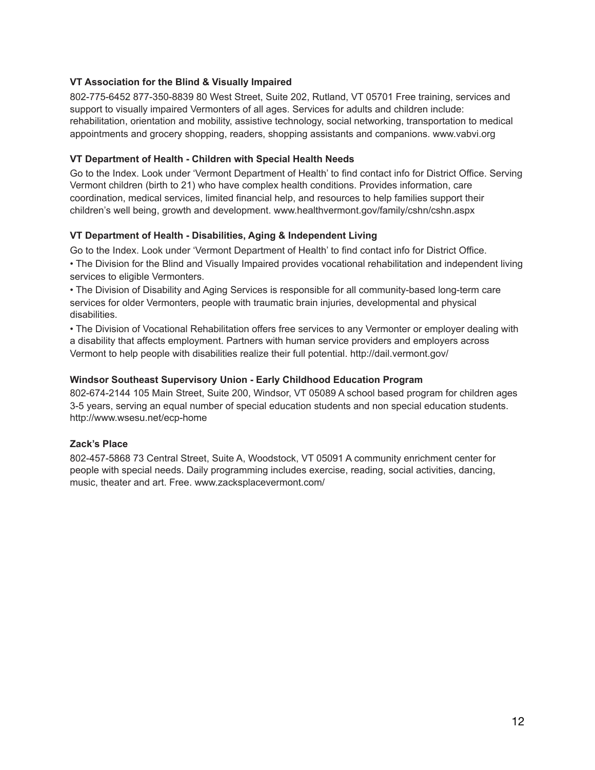#### **VT Association for the Blind & Visually Impaired**

802-775-6452 877-350-8839 80 West Street, Suite 202, Rutland, VT 05701 Free training, services and support to visually impaired Vermonters of all ages. Services for adults and children include: rehabilitation, orientation and mobility, assistive technology, social networking, transportation to medical appointments and grocery shopping, readers, shopping assistants and companions. [www.vabvi.org](http://www.vabvi.org)

## **VT Department of Health - Children with Special Health Needs**

Go to the Index. Look under 'Vermont Department of Health' to find contact info for District Office. Serving Vermont children (birth to 21) who have complex health conditions. Provides information, care coordination, medical services, limited financial help, and resources to help families support their children's well being, growth and development. www.healthvermont.gov/family/cshn/cshn.aspx

## **VT Department of Health - Disabilities, Aging & Independent Living**

Go to the Index. Look under 'Vermont Department of Health' to find contact info for District Office.

• The Division for the Blind and Visually Impaired provides vocational rehabilitation and independent living services to eligible Vermonters.

• The Division of Disability and Aging Services is responsible for all community-based long-term care services for older Vermonters, people with traumatic brain injuries, developmental and physical disabilities.

• The Division of Vocational Rehabilitation offers free services to any Vermonter or employer dealing with a disability that affects employment. Partners with human service providers and employers across Vermont to help people with disabilities realize their full potential. http://dail.vermont.gov/

## **Windsor Southeast Supervisory Union - Early Childhood Education Program**

802-674-2144 105 Main Street, Suite 200, Windsor, VT 05089 A school based program for children ages 3-5 years, serving an equal number of special education students and non special education students. <http://www.wsesu.net/ecp-home>

## **Zack's Place**

802-457-5868 73 Central Street, Suite A, Woodstock, VT 05091 A community enrichment center for people with special needs. Daily programming includes exercise, reading, social activities, dancing, music, theater and art. Free. [www.zacksplacevermont.com/](http://www.zacksplacevermont.com/)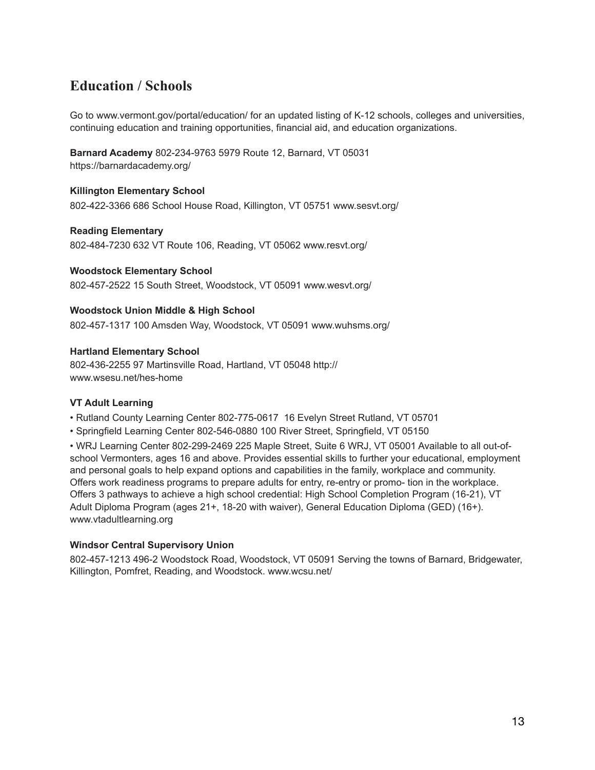## **Education / Schools**

Go to www.vermont.gov/portal/education/ for an updated listing of K-12 schools, colleges and universities, continuing education and training opportunities, financial aid, and education organizations.

**Barnard Academy** 802-234-9763 5979 Route 12, Barnard, VT 05031 <https://barnardacademy.org/>

## **Killington Elementary School**

802-422-3366 686 School House Road, Killington, VT 05751 www.sesvt.org/

#### **Reading Elementary**

802-484-7230 632 VT Route 106, Reading, VT 05062 www.resvt.org/

**Woodstock Elementary School**  802-457-2522 15 South Street, Woodstock, VT 05091 www.wesvt.org/

#### **Woodstock Union Middle & High School**

802-457-1317 100 Amsden Way, Woodstock, VT 05091 www.wuhsms.org/

#### **Hartland Elementary School**

802-436-2255 97 Martinsville Road, Hartland, VT 05048 [http://](http://www.wsesu.net/hes-home) [www.wsesu.net/hes-home](http://www.wsesu.net/hes-home)

#### **VT Adult Learning**

- Rutland County Learning Center 802-775-0617 16 Evelyn Street Rutland, VT 05701
- Springfield Learning Center 802-546-0880 100 River Street, Springfield, VT 05150

• WRJ Learning Center 802-299-2469 225 Maple Street, Suite 6 WRJ, VT 05001 Available to all out-ofschool Vermonters, ages 16 and above. Provides essential skills to further your educational, employment and personal goals to help expand options and capabilities in the family, workplace and community. Offers work readiness programs to prepare adults for entry, re-entry or promo- tion in the workplace. Offers 3 pathways to achieve a high school credential: High School Completion Program (16-21), VT Adult Diploma Program (ages 21+, 18-20 with waiver), General Education Diploma (GED) (16+). www.vtadultlearning.org

#### **Windsor Central Supervisory Union**

802-457-1213 496-2 Woodstock Road, Woodstock, VT 05091 Serving the towns of Barnard, Bridgewater, Killington, Pomfret, Reading, and Woodstock. www.wcsu.net/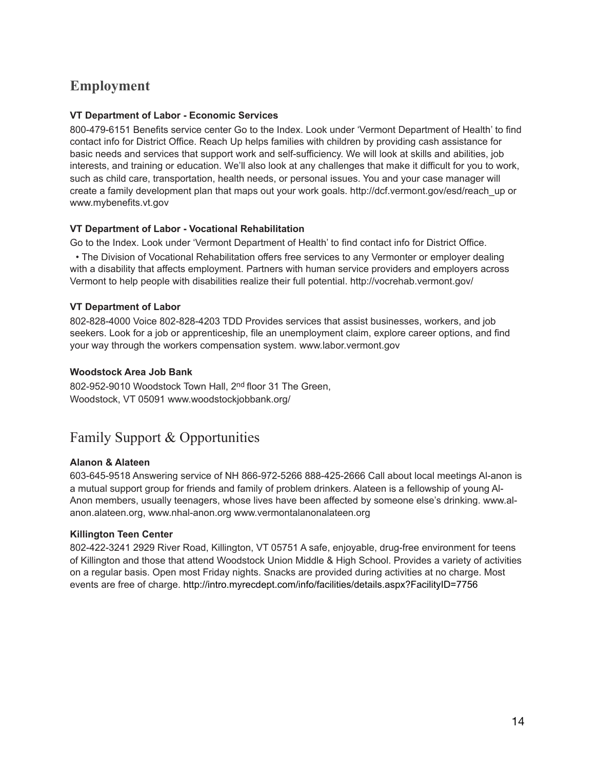## **Employment**

## **VT Department of Labor - Economic Services**

800-479-6151 Benefits service center Go to the Index. Look under 'Vermont Department of Health' to find contact info for District Office. Reach Up helps families with children by providing cash assistance for basic needs and services that support work and self-sufficiency. We will look at skills and abilities, job interests, and training or education. We'll also look at any challenges that make it difficult for you to work, such as child care, transportation, health needs, or personal issues. You and your case manager will create a family development plan that maps out your work goals. http://dcf.vermont.gov/esd/reach\_up or www.mybenefits.vt.gov

#### **VT Department of Labor - Vocational Rehabilitation**

Go to the Index. Look under 'Vermont Department of Health' to find contact info for District Office.

• The Division of Vocational Rehabilitation offers free services to any Vermonter or employer dealing with a disability that affects employment. Partners with human service providers and employers across Vermont to help people with disabilities realize their full potential. http://vocrehab.vermont.gov/

## **VT Department of Labor**

802-828-4000 Voice 802-828-4203 TDD Provides services that assist businesses, workers, and job seekers. Look for a job or apprenticeship, file an unemployment claim, explore career options, and find your way through the workers compensation system. www.labor.vermont.gov

## **Woodstock Area Job Bank**

802-952-9010 Woodstock Town Hall, 2<sup>nd</sup> floor 31 The Green, Woodstock, VT 05091 www.woodstockjobbank.org/

## Family Support & Opportunities

#### **Alanon & Alateen**

603-645-9518 Answering service of NH 866-972-5266 888-425-2666 Call about local meetings Al-anon is a mutual support group for friends and family of problem drinkers. Alateen is a fellowship of young Al-Anon members, usually teenagers, whose lives have been affected by someone else's drinking. www.alanon.alateen.org, www.nhal-anon.org www.vermontalanonalateen.org

#### **Killington Teen Center**

802-422-3241 2929 River Road, Killington, VT 05751 A safe, enjoyable, drug-free environment for teens of Killington and those that attend Woodstock Union Middle & High School. Provides a variety of activities on a regular basis. Open most Friday nights. Snacks are provided during activities at no charge. Most events are free of charge. <http://intro.myrecdept.com/info/facilities/details.aspx?FacilityID=7756>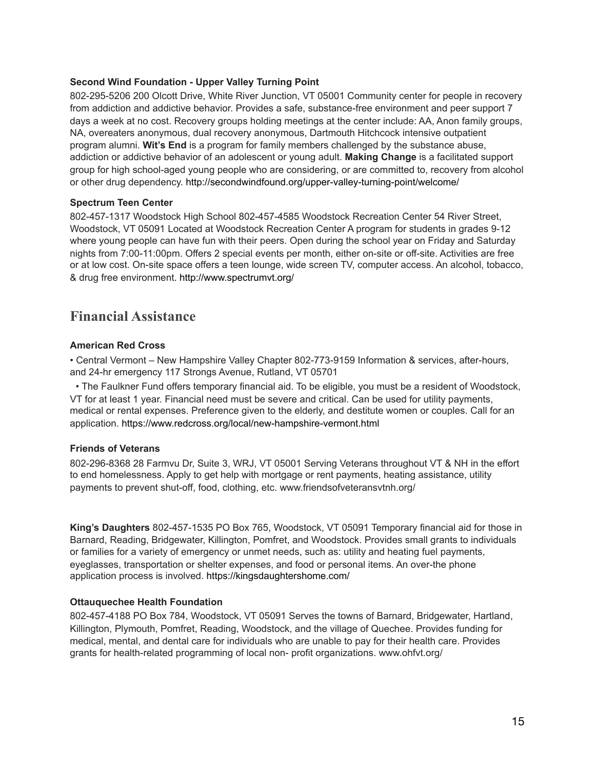#### **Second Wind Foundation - Upper Valley Turning Point**

802-295-5206 200 Olcott Drive, White River Junction, VT 05001 Community center for people in recovery from addiction and addictive behavior. Provides a safe, substance-free environment and peer support 7 days a week at no cost. Recovery groups holding meetings at the center include: AA, Anon family groups, NA, overeaters anonymous, dual recovery anonymous, Dartmouth Hitchcock intensive outpatient program alumni. **Wit's End** is a program for family members challenged by the substance abuse, addiction or addictive behavior of an adolescent or young adult. **Making Change** is a facilitated support group for high school-aged young people who are considering, or are committed to, recovery from alcohol or other drug dependency.<http://secondwindfound.org/upper-valley-turning-point/welcome/>

#### **Spectrum Teen Center**

802-457-1317 Woodstock High School 802-457-4585 Woodstock Recreation Center 54 River Street, Woodstock, VT 05091 Located at Woodstock Recreation Center A program for students in grades 9-12 where young people can have fun with their peers. Open during the school year on Friday and Saturday nights from 7:00-11:00pm. Offers 2 special events per month, either on-site or off-site. Activities are free or at low cost. On-site space offers a teen lounge, wide screen TV, computer access. An alcohol, tobacco, & drug free environment. <http://www.spectrumvt.org/>

## **Financial Assistance**

#### **American Red Cross**

• Central Vermont – New Hampshire Valley Chapter 802-773-9159 Information & services, after-hours, and 24-hr emergency 117 Strongs Avenue, Rutland, VT 05701

• The Faulkner Fund offers temporary financial aid. To be eligible, you must be a resident of Woodstock, VT for at least 1 year. Financial need must be severe and critical. Can be used for utility payments, medical or rental expenses. Preference given to the elderly, and destitute women or couples. Call for an application.<https://www.redcross.org/local/new-hampshire-vermont.html>

#### **Friends of Veterans**

802-296-8368 28 Farmvu Dr, Suite 3, WRJ, VT 05001 Serving Veterans throughout VT & NH in the effort to end homelessness. Apply to get help with mortgage or rent payments, heating assistance, utility payments to prevent shut-off, food, clothing, etc. www.friendsofveteransvtnh.org/

**King's Daughters** 802-457-1535 PO Box 765, Woodstock, VT 05091 Temporary financial aid for those in Barnard, Reading, Bridgewater, Killington, Pomfret, and Woodstock. Provides small grants to individuals or families for a variety of emergency or unmet needs, such as: utility and heating fuel payments, eyeglasses, transportation or shelter expenses, and food or personal items. An over-the phone application process is involved. <https://kingsdaughtershome.com/>

#### **Ottauquechee Health Foundation**

802-457-4188 PO Box 784, Woodstock, VT 05091 Serves the towns of Barnard, Bridgewater, Hartland, Killington, Plymouth, Pomfret, Reading, Woodstock, and the village of Quechee. Provides funding for medical, mental, and dental care for individuals who are unable to pay for their health care. Provides grants for health-related programming of local non- profit organizations. www.ohfvt.org/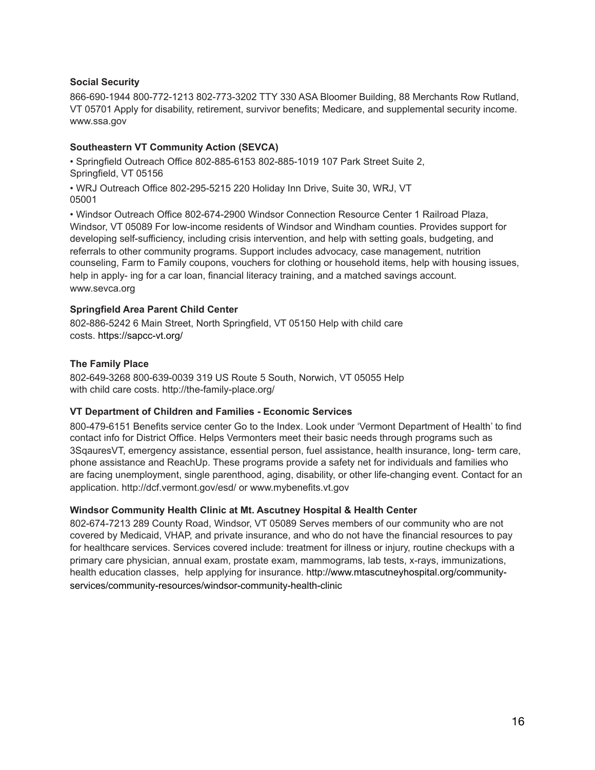#### **Social Security**

866-690-1944 800-772-1213 802-773-3202 TTY 330 ASA Bloomer Building, 88 Merchants Row Rutland, VT 05701 Apply for disability, retirement, survivor benefits; Medicare, and supplemental security income. www.ssa.gov

## **Southeastern VT Community Action (SEVCA)**

• Springfield Outreach Office 802-885-6153 802-885-1019 107 Park Street Suite 2, Springfield, VT 05156

• WRJ Outreach Office 802-295-5215 220 Holiday Inn Drive, Suite 30, WRJ, VT 05001

• Windsor Outreach Office 802-674-2900 Windsor Connection Resource Center 1 Railroad Plaza, Windsor, VT 05089 For low-income residents of Windsor and Windham counties. Provides support for developing self-sufficiency, including crisis intervention, and help with setting goals, budgeting, and referrals to other community programs. Support includes advocacy, case management, nutrition counseling, Farm to Family coupons, vouchers for clothing or household items, help with housing issues, help in apply- ing for a car loan, financial literacy training, and a matched savings account. www.sevca.org

#### **Springfield Area Parent Child Center**

802-886-5242 6 Main Street, North Springfield, VT 05150 Help with child care costs. <https://sapcc-vt.org/>

#### **The Family Place**

802-649-3268 800-639-0039 319 US Route 5 South, Norwich, VT 05055 Help with child care costs. http://the-family-place.org/

#### **VT Department of Children and Families - Economic Services**

800-479-6151 Benefits service center Go to the Index. Look under 'Vermont Department of Health' to find contact info for District Office. Helps Vermonters meet their basic needs through programs such as 3SqauresVT, emergency assistance, essential person, fuel assistance, health insurance, long- term care, phone assistance and ReachUp. These programs provide a safety net for individuals and families who are facing unemployment, single parenthood, aging, disability, or other life-changing event. Contact for an application. http://dcf.vermont.gov/esd/ or www.mybenefits.vt.gov

#### **Windsor Community Health Clinic at Mt. Ascutney Hospital & Health Center**

802-674-7213 289 County Road, Windsor, VT 05089 Serves members of our community who are not covered by Medicaid, VHAP, and private insurance, and who do not have the financial resources to pay for healthcare services. Services covered include: treatment for illness or injury, routine checkups with a primary care physician, annual exam, prostate exam, mammograms, lab tests, x-rays, immunizations, health education classes, help applying for insurance. [http://www.mtascutneyhospital.org/community](http://www.mtascutneyhospital.org/community-services/community-resources/windsor-community-health-clinic)[services/community-resources/windsor-community-health-clinic](http://www.mtascutneyhospital.org/community-services/community-resources/windsor-community-health-clinic)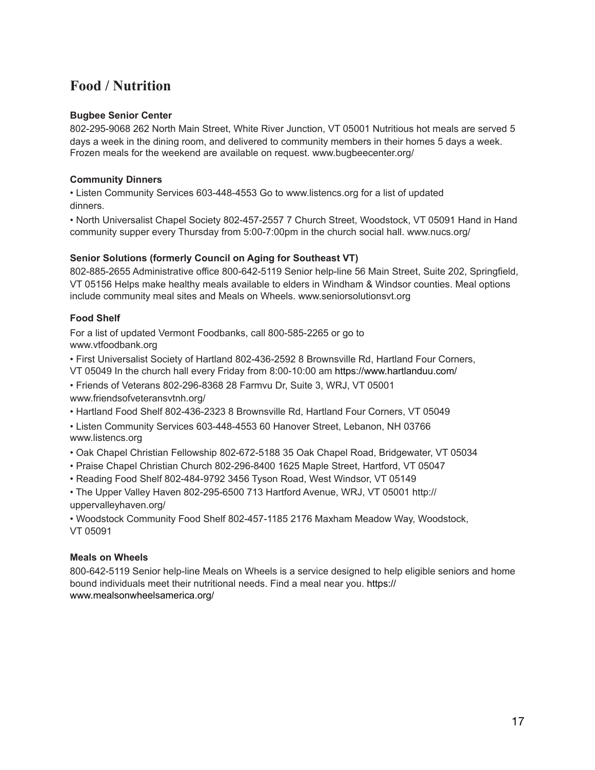## **Food / Nutrition**

## **Bugbee Senior Center**

802-295-9068 262 North Main Street, White River Junction, VT 05001 Nutritious hot meals are served 5 days a week in the dining room, and delivered to community members in their homes 5 days a week. Frozen meals for the weekend are available on request. www.bugbeecenter.org/

## **Community Dinners**

• Listen Community Services 603-448-4553 Go to www.listencs.org for a list of updated dinners.

• North Universalist Chapel Society 802-457-2557 7 Church Street, Woodstock, VT 05091 Hand in Hand community supper every Thursday from 5:00-7:00pm in the church social hall. www.nucs.org/

## **Senior Solutions (formerly Council on Aging for Southeast VT)**

802-885-2655 Administrative office 800-642-5119 Senior help-line 56 Main Street, Suite 202, Springfield, VT 05156 Helps make healthy meals available to elders in Windham & Windsor counties. Meal options include community meal sites and Meals on Wheels. www.seniorsolutionsvt.org

## **Food Shelf**

For a list of updated Vermont Foodbanks, call 800-585-2265 or go to www.vtfoodbank.org

• First Universalist Society of Hartland 802-436-2592 8 Brownsville Rd, Hartland Four Corners,

VT 05049 In the church hall every Friday from 8:00-10:00 am <https://www.hartlanduu.com/> • Friends of Veterans 802-296-8368 28 Farmvu Dr, Suite 3, WRJ, VT 05001

www.friendsofveteransvtnh.org/

• Hartland Food Shelf 802-436-2323 8 Brownsville Rd, Hartland Four Corners, VT 05049

• Listen Community Services 603-448-4553 60 Hanover Street, Lebanon, NH 03766 www.listencs.org

• Oak Chapel Christian Fellowship 802-672-5188 35 Oak Chapel Road, Bridgewater, VT 05034

• Praise Chapel Christian Church 802-296-8400 1625 Maple Street, Hartford, VT 05047

• Reading Food Shelf 802-484-9792 3456 Tyson Road, West Windsor, VT 05149

• The Upper Valley Haven 802-295-6500 713 Hartford Avenue, WRJ, VT 05001 http:// uppervalleyhaven.org/

• Woodstock Community Food Shelf 802-457-1185 2176 Maxham Meadow Way, Woodstock, VT 05091

#### **Meals on Wheels**

800-642-5119 Senior help-line Meals on Wheels is a service designed to help eligible seniors and home bound individuals meet their nutritional needs. Find a meal near you. [https://](https://www.mealsonwheelsamerica.org/) [www.mealsonwheelsamerica.org/](https://www.mealsonwheelsamerica.org/)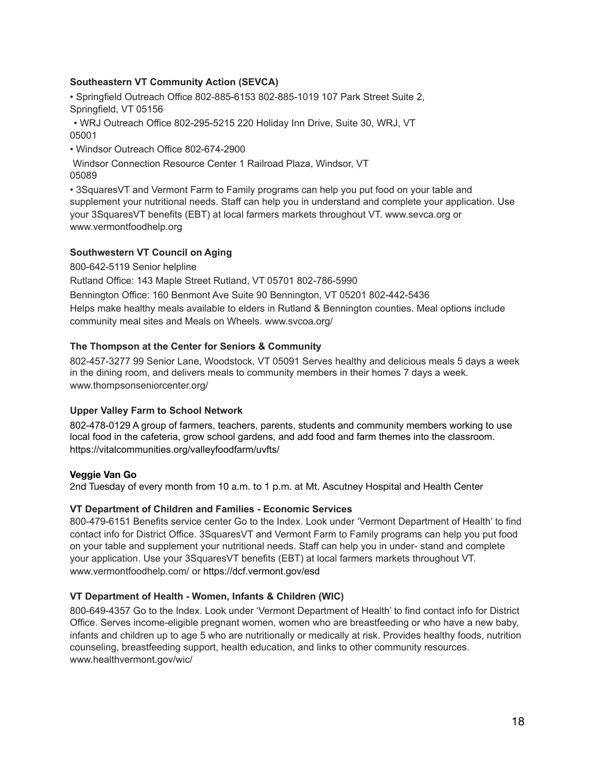## **Southeastern VT Community Action (SEVCA)**

• Springfield Outreach Office 802-885-6153 802-885-1019 107 Park Street Suite 2, Springfield, VT 05156

• WRJ Outreach Office 802-295-5215 220 Holiday Inn Drive, Suite 30, WRJ, VT 05001

• Windsor Outreach Office 802-674-2900

Windsor Connection Resource Center 1 Railroad Plaza, Windsor, VT 05089

• 3SquaresVT and Vermont Farm to Family programs can help you put food on your table and supplement your nutritional needs. Staff can help you in understand and complete your application. Use your 3SquaresVT benefits (EBT) at local farmers markets throughout VT. www.sevca.org or www.vermontfoodhelp.org

## **Southwestern VT Council on Aging**

800-642-5119 Senior helpline

Rutland Office: 143 Maple Street Rutland, VT 05701 802-786-5990

Bennington Office: 160 Benmont Ave Suite 90 Bennington, VT 05201 802-442-5436

Helps make healthy meals available to elders in Rutland & Bennington counties. Meal options include community meal sites and Meals on Wheels. www.svcoa.org/

## **The Thompson at the Center for Seniors & Community**

802-457-3277 99 Senior Lane, Woodstock, VT 05091 Serves healthy and delicious meals 5 days a week in the dining room, and delivers meals to community members in their homes 7 days a week. www.thompsonseniorcenter.org/

## **Upper Valley Farm to School Network**

802-478-0129 A group of farmers, teachers, parents, students and community members working to use local food in the cafeteria, grow school gardens, and add food and farm themes into the classroom. <https://vitalcommunities.org/valleyfoodfarm/uvfts/>

#### **Veggie Van Go**

2nd Tuesday of every month from 10 a.m. to 1 p.m. at Mt. Ascutney Hospital and Health Center

#### **VT Department of Children and Families - Economic Services**

800-479-6151 Benefits service center Go to the Index. Look under 'Vermont Department of Health' to find contact info for District Office. 3SquaresVT and Vermont Farm to Family programs can help you put food on your table and supplement your nutritional needs. Staff can help you in under- stand and complete your application. Use your 3SquaresVT benefits (EBT) at local farmers markets throughout VT. www.vermontfoodhelp.com/ or<https://dcf.vermont.gov/esd>

## **VT Department of Health - Women, Infants & Children (WIC)**

800-649-4357 Go to the Index. Look under 'Vermont Department of Health' to find contact info for District Office. Serves income-eligible pregnant women, women who are breastfeeding or who have a new baby, infants and children up to age 5 who are nutritionally or medically at risk. Provides healthy foods, nutrition counseling, breastfeeding support, health education, and links to other community resources. www.healthvermont.gov/wic/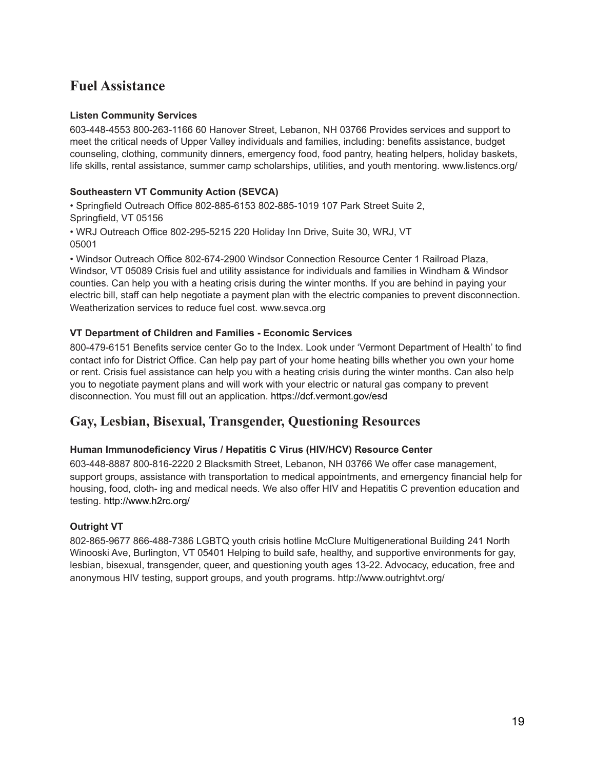## **Fuel Assistance**

## **Listen Community Services**

603-448-4553 800-263-1166 60 Hanover Street, Lebanon, NH 03766 Provides services and support to meet the critical needs of Upper Valley individuals and families, including: benefits assistance, budget counseling, clothing, community dinners, emergency food, food pantry, heating helpers, holiday baskets, life skills, rental assistance, summer camp scholarships, utilities, and youth mentoring. www.listencs.org/

## **Southeastern VT Community Action (SEVCA)**

• Springfield Outreach Office 802-885-6153 802-885-1019 107 Park Street Suite 2, Springfield, VT 05156

• WRJ Outreach Office 802-295-5215 220 Holiday Inn Drive, Suite 30, WRJ, VT 05001

• Windsor Outreach Office 802-674-2900 Windsor Connection Resource Center 1 Railroad Plaza, Windsor, VT 05089 Crisis fuel and utility assistance for individuals and families in Windham & Windsor counties. Can help you with a heating crisis during the winter months. If you are behind in paying your electric bill, staff can help negotiate a payment plan with the electric companies to prevent disconnection. Weatherization services to reduce fuel cost. www.sevca.org

## **VT Department of Children and Families - Economic Services**

800-479-6151 Benefits service center Go to the Index. Look under 'Vermont Department of Health' to find contact info for District Office. Can help pay part of your home heating bills whether you own your home or rent. Crisis fuel assistance can help you with a heating crisis during the winter months. Can also help you to negotiate payment plans and will work with your electric or natural gas company to prevent disconnection. You must fill out an application. <https://dcf.vermont.gov/esd>

## **Gay, Lesbian, Bisexual, Transgender, Questioning Resources**

## **Human Immunodeficiency Virus / Hepatitis C Virus (HIV/HCV) Resource Center**

603-448-8887 800-816-2220 2 Blacksmith Street, Lebanon, NH 03766 We offer case management, support groups, assistance with transportation to medical appointments, and emergency financial help for housing, food, cloth- ing and medical needs. We also offer HIV and Hepatitis C prevention education and testing.<http://www.h2rc.org/>

## **Outright VT**

802-865-9677 866-488-7386 LGBTQ youth crisis hotline McClure Multigenerational Building 241 North Winooski Ave, Burlington, VT 05401 Helping to build safe, healthy, and supportive environments for gay, lesbian, bisexual, transgender, queer, and questioning youth ages 13-22. Advocacy, education, free and anonymous HIV testing, support groups, and youth programs. <http://www.outrightvt.org/>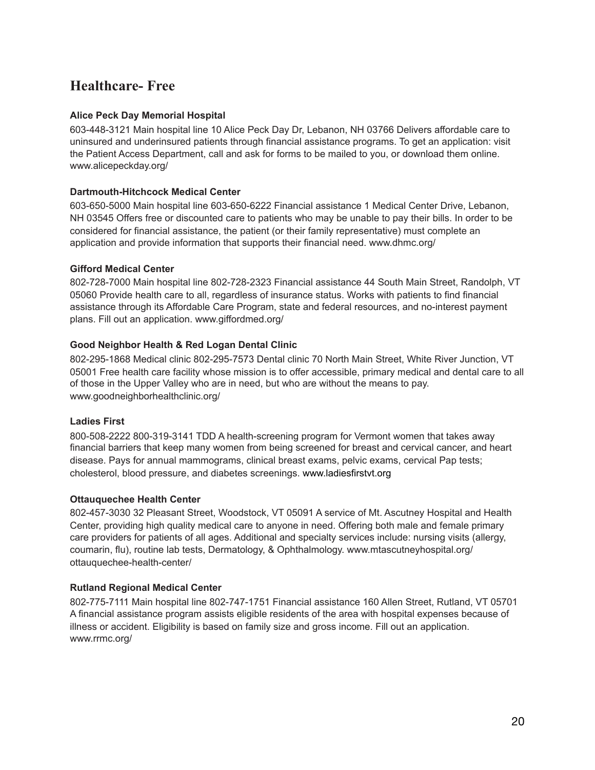## **Healthcare- Free**

## **Alice Peck Day Memorial Hospital**

603-448-3121 Main hospital line 10 Alice Peck Day Dr, Lebanon, NH 03766 Delivers affordable care to uninsured and underinsured patients through financial assistance programs. To get an application: visit the Patient Access Department, call and ask for forms to be mailed to you, or download them online. www.alicepeckday.org/

#### **Dartmouth-Hitchcock Medical Center**

603-650-5000 Main hospital line 603-650-6222 Financial assistance 1 Medical Center Drive, Lebanon, NH 03545 Offers free or discounted care to patients who may be unable to pay their bills. In order to be considered for financial assistance, the patient (or their family representative) must complete an application and provide information that supports their financial need. www.dhmc.org/

#### **Gifford Medical Center**

802-728-7000 Main hospital line 802-728-2323 Financial assistance 44 South Main Street, Randolph, VT 05060 Provide health care to all, regardless of insurance status. Works with patients to find financial assistance through its Affordable Care Program, state and federal resources, and no-interest payment plans. Fill out an application. www.giffordmed.org/

## **Good Neighbor Health & Red Logan Dental Clinic**

802-295-1868 Medical clinic 802-295-7573 Dental clinic 70 North Main Street, White River Junction, VT 05001 Free health care facility whose mission is to offer accessible, primary medical and dental care to all of those in the Upper Valley who are in need, but who are without the means to pay. www.goodneighborhealthclinic.org/

#### **Ladies First**

800-508-2222 800-319-3141 TDD A health-screening program for Vermont women that takes away financial barriers that keep many women from being screened for breast and cervical cancer, and heart disease. Pays for annual mammograms, clinical breast exams, pelvic exams, cervical Pap tests; cholesterol, blood pressure, and diabetes screenings. [www.ladiesfirstvt.org](http://www.ladiesfirstvt.org) 

#### **Ottauquechee Health Center**

802-457-3030 32 Pleasant Street, Woodstock, VT 05091 A service of Mt. Ascutney Hospital and Health Center, providing high quality medical care to anyone in need. Offering both male and female primary care providers for patients of all ages. Additional and specialty services include: nursing visits (allergy, coumarin, flu), routine lab tests, Dermatology, & Ophthalmology. www.mtascutneyhospital.org/ ottauquechee-health-center/

#### **Rutland Regional Medical Center**

802-775-7111 Main hospital line 802-747-1751 Financial assistance 160 Allen Street, Rutland, VT 05701 A financial assistance program assists eligible residents of the area with hospital expenses because of illness or accident. Eligibility is based on family size and gross income. Fill out an application. www.rrmc.org/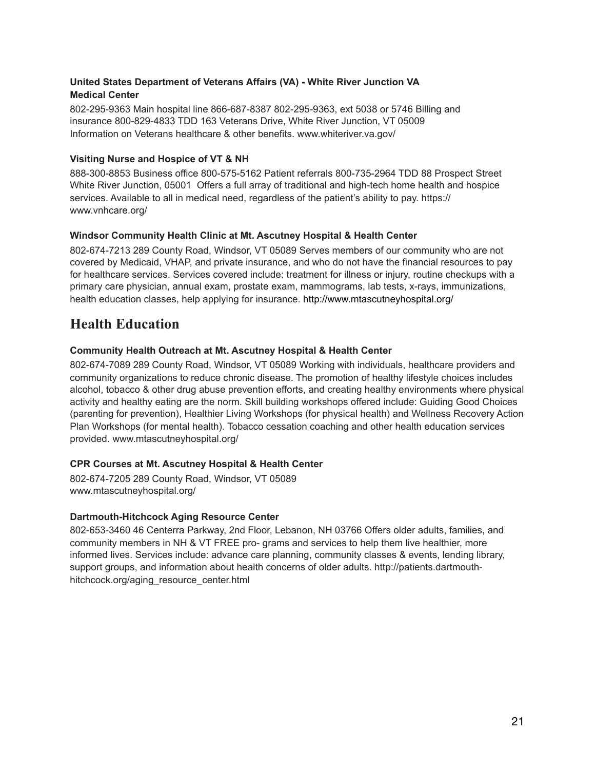## **United States Department of Veterans Affairs (VA) - White River Junction VA Medical Center**

802-295-9363 Main hospital line 866-687-8387 802-295-9363, ext 5038 or 5746 Billing and insurance 800-829-4833 TDD 163 Veterans Drive, White River Junction, VT 05009 Information on Veterans healthcare & other benefits. www.whiteriver.va.gov/

## **Visiting Nurse and Hospice of VT & NH**

888-300-8853 Business office 800-575-5162 Patient referrals 800-735-2964 TDD 88 Prospect Street White River Junction, 05001 Offers a full array of traditional and high-tech home health and hospice services. Available to all in medical need, regardless of the patient's ability to pay. [https://](https://www.vnhcare.org/) [www.vnhcare.org/](https://www.vnhcare.org/)

## **Windsor Community Health Clinic at Mt. Ascutney Hospital & Health Center**

802-674-7213 289 County Road, Windsor, VT 05089 Serves members of our community who are not covered by Medicaid, VHAP, and private insurance, and who do not have the financial resources to pay for healthcare services. Services covered include: treatment for illness or injury, routine checkups with a primary care physician, annual exam, prostate exam, mammograms, lab tests, x-rays, immunizations, health education classes, help applying for insurance.<http://www.mtascutneyhospital.org/>

## **Health Education**

## **Community Health Outreach at Mt. Ascutney Hospital & Health Center**

802-674-7089 289 County Road, Windsor, VT 05089 Working with individuals, healthcare providers and community organizations to reduce chronic disease. The promotion of healthy lifestyle choices includes alcohol, tobacco & other drug abuse prevention efforts, and creating healthy environments where physical activity and healthy eating are the norm. Skill building workshops offered include: Guiding Good Choices (parenting for prevention), Healthier Living Workshops (for physical health) and Wellness Recovery Action Plan Workshops (for mental health). Tobacco cessation coaching and other health education services provided. www.mtascutneyhospital.org/

#### **CPR Courses at Mt. Ascutney Hospital & Health Center**

802-674-7205 289 County Road, Windsor, VT 05089 www.mtascutneyhospital.org/

#### **Dartmouth-Hitchcock Aging Resource Center**

802-653-3460 46 Centerra Parkway, 2nd Floor, Lebanon, NH 03766 Offers older adults, families, and community members in NH & VT FREE pro- grams and services to help them live healthier, more informed lives. Services include: advance care planning, community classes & events, lending library, support groups, and information about health concerns of older adults. http://patients.dartmouthhitchcock.org/aging\_resource\_center.html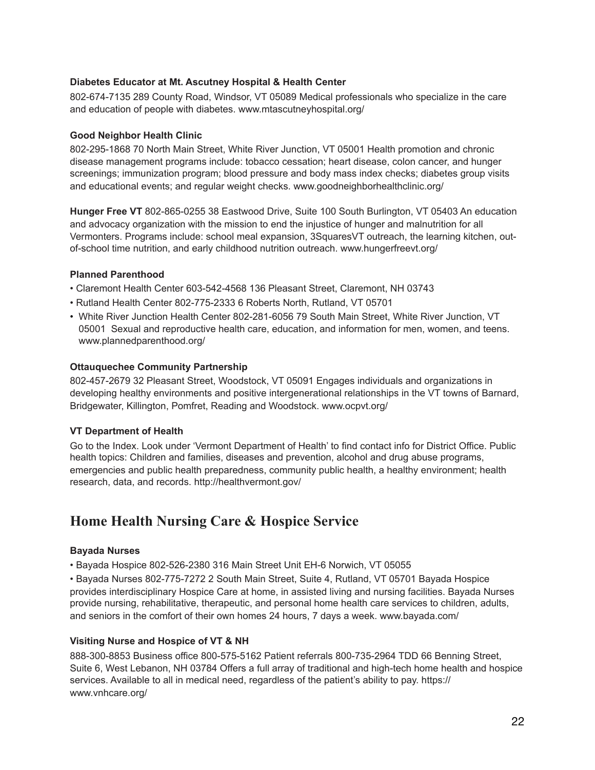#### **Diabetes Educator at Mt. Ascutney Hospital & Health Center**

802-674-7135 289 County Road, Windsor, VT 05089 Medical professionals who specialize in the care and education of people with diabetes. www.mtascutneyhospital.org/

## **Good Neighbor Health Clinic**

802-295-1868 70 North Main Street, White River Junction, VT 05001 Health promotion and chronic disease management programs include: tobacco cessation; heart disease, colon cancer, and hunger screenings; immunization program; blood pressure and body mass index checks; diabetes group visits and educational events; and regular weight checks. www.goodneighborhealthclinic.org/

**Hunger Free VT** 802-865-0255 38 Eastwood Drive, Suite 100 South Burlington, VT 05403 An education and advocacy organization with the mission to end the injustice of hunger and malnutrition for all Vermonters. Programs include: school meal expansion, 3SquaresVT outreach, the learning kitchen, outof-school time nutrition, and early childhood nutrition outreach. www.hungerfreevt.org/

## **Planned Parenthood**

- Claremont Health Center 603-542-4568 136 Pleasant Street, Claremont, NH 03743
- Rutland Health Center 802-775-2333 6 Roberts North, Rutland, VT 05701
- White River Junction Health Center 802-281-6056 79 South Main Street, White River Junction, VT 05001 Sexual and reproductive health care, education, and information for men, women, and teens. www.plannedparenthood.org/

## **Ottauquechee Community Partnership**

802-457-2679 32 Pleasant Street, Woodstock, VT 05091 Engages individuals and organizations in developing healthy environments and positive intergenerational relationships in the VT towns of Barnard, Bridgewater, Killington, Pomfret, Reading and Woodstock. www.ocpvt.org/

## **VT Department of Health**

Go to the Index. Look under 'Vermont Department of Health' to find contact info for District Office. Public health topics: Children and families, diseases and prevention, alcohol and drug abuse programs, emergencies and public health preparedness, community public health, a healthy environment; health research, data, and records. http://healthvermont.gov/

## **Home Health Nursing Care & Hospice Service**

#### **Bayada Nurses**

• Bayada Hospice 802-526-2380 316 Main Street Unit EH-6 Norwich, VT 05055

• Bayada Nurses 802-775-7272 2 South Main Street, Suite 4, Rutland, VT 05701 Bayada Hospice provides interdisciplinary Hospice Care at home, in assisted living and nursing facilities. Bayada Nurses provide nursing, rehabilitative, therapeutic, and personal home health care services to children, adults, and seniors in the comfort of their own homes 24 hours, 7 days a week. www.bayada.com/

## **Visiting Nurse and Hospice of VT & NH**

888-300-8853 Business office 800-575-5162 Patient referrals 800-735-2964 TDD 66 Benning Street, Suite 6, West Lebanon, NH 03784 Offers a full array of traditional and high-tech home health and hospice services. Available to all in medical need, regardless of the patient's ability to pay. [https://](https://www.vnhcare.org/) [www.vnhcare.org/](https://www.vnhcare.org/)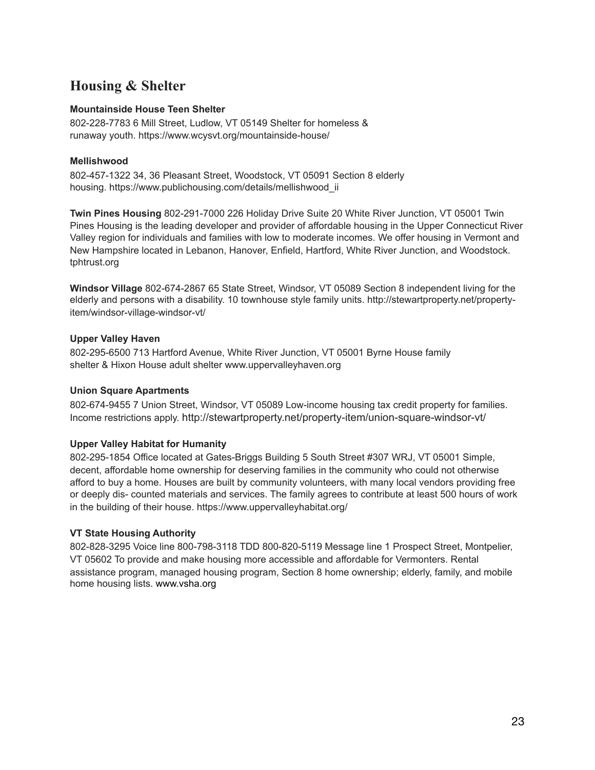## **Housing & Shelter**

#### **Mountainside House Teen Shelter**

802-228-7783 6 Mill Street, Ludlow, VT 05149 Shelter for homeless & runaway youth. <https://www.wcysvt.org/mountainside-house/>

## **Mellishwood**

802-457-1322 34, 36 Pleasant Street, Woodstock, VT 05091 Section 8 elderly housing. [https://www.publichousing.com/details/mellishwood\\_ii](https://www.publichousing.com/details/mellishwood_ii) 

**Twin Pines Housing** 802-291-7000 226 Holiday Drive Suite 20 White River Junction, VT 05001 Twin Pines Housing is the leading developer and provider of affordable housing in the Upper Connecticut River Valley region for individuals and families with low to moderate incomes. We offer housing in Vermont and New Hampshire located in Lebanon, Hanover, Enfield, Hartford, White River Junction, and Woodstock. tphtrust.org

**Windsor Village** 802-674-2867 65 State Street, Windsor, VT 05089 Section 8 independent living for the elderly and persons with a disability. 10 townhouse style family units. [http://stewartproperty.net/property](http://stewartproperty.net/property-item/windsor-village-windsor-vt/)[item/windsor-village-windsor-vt/](http://stewartproperty.net/property-item/windsor-village-windsor-vt/)

## **Upper Valley Haven**

802-295-6500 713 Hartford Avenue, White River Junction, VT 05001 Byrne House family shelter & Hixon House adult shelter www.uppervalleyhaven.org

#### **Union Square Apartments**

802-674-9455 7 Union Street, Windsor, VT 05089 Low-income housing tax credit property for families. Income restrictions apply.<http://stewartproperty.net/property-item/union-square-windsor-vt/>

## **Upper Valley Habitat for Humanity**

802-295-1854 Office located at Gates-Briggs Building 5 South Street #307 WRJ, VT 05001 Simple, decent, affordable home ownership for deserving families in the community who could not otherwise afford to buy a home. Houses are built by community volunteers, with many local vendors providing free or deeply dis- counted materials and services. The family agrees to contribute at least 500 hours of work in the building of their house. <https://www.uppervalleyhabitat.org/>

#### **VT State Housing Authority**

802-828-3295 Voice line 800-798-3118 TDD 800-820-5119 Message line 1 Prospect Street, Montpelier, VT 05602 To provide and make housing more accessible and affordable for Vermonters. Rental assistance program, managed housing program, Section 8 home ownership; elderly, family, and mobile home housing lists. [www.vsha.org](http://www.vsha.org)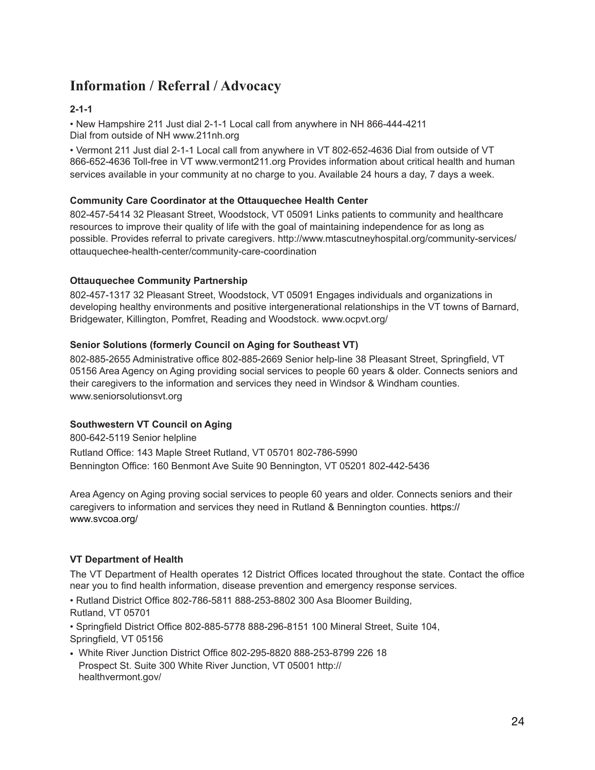## **Information / Referral / Advocacy**

## **2-1-1**

• New Hampshire 211 Just dial 2-1-1 Local call from anywhere in NH 866-444-4211 Dial from outside of NH www.211nh.org

• Vermont 211 Just dial 2-1-1 Local call from anywhere in VT 802-652-4636 Dial from outside of VT 866-652-4636 Toll-free in VT www.vermont211.org Provides information about critical health and human services available in your community at no charge to you. Available 24 hours a day, 7 days a week.

## **Community Care Coordinator at the Ottauquechee Health Center**

802-457-5414 32 Pleasant Street, Woodstock, VT 05091 Links patients to community and healthcare resources to improve their quality of life with the goal of maintaining independence for as long as possible. Provides referral to private caregivers. [http://www.mtascutneyhospital.org/community-services/](http://www.mtascutneyhospital.org/community-services/ottauquechee-health-center/community-care-coordination) [ottauquechee-health-center/community-care-coordination](http://www.mtascutneyhospital.org/community-services/ottauquechee-health-center/community-care-coordination)

## **Ottauquechee Community Partnership**

802-457-1317 32 Pleasant Street, Woodstock, VT 05091 Engages individuals and organizations in developing healthy environments and positive intergenerational relationships in the VT towns of Barnard, Bridgewater, Killington, Pomfret, Reading and Woodstock. www.ocpvt.org/

## **Senior Solutions (formerly Council on Aging for Southeast VT)**

802-885-2655 Administrative office 802-885-2669 Senior help-line 38 Pleasant Street, Springfield, VT 05156 Area Agency on Aging providing social services to people 60 years & older. Connects seniors and their caregivers to the information and services they need in Windsor & Windham counties. www.seniorsolutionsvt.org

## **Southwestern VT Council on Aging**

800-642-5119 Senior helpline Rutland Office: 143 Maple Street Rutland, VT 05701 802-786-5990 Bennington Office: 160 Benmont Ave Suite 90 Bennington, VT 05201 802-442-5436

Area Agency on Aging proving social services to people 60 years and older. Connects seniors and their caregivers to information and services they need in Rutland & Bennington counties. [https://](https://www.svcoa.org/) [www.svcoa.org/](https://www.svcoa.org/)

## **VT Department of Health**

The VT Department of Health operates 12 District Offices located throughout the state. Contact the office near you to find health information, disease prevention and emergency response services.

• Rutland District Office 802-786-5811 888-253-8802 300 Asa Bloomer Building,

Rutland, VT 05701

• Springfield District Office 802-885-5778 888-296-8151 100 Mineral Street, Suite 104, Springfield, VT 05156

• White River Junction District Office 802-295-8820 888-253-8799 226 18 Prospect St. Suite 300 White River Junction, VT 05001 [http://](http://healthvermont.gov/) [healthvermont.gov/](http://healthvermont.gov/)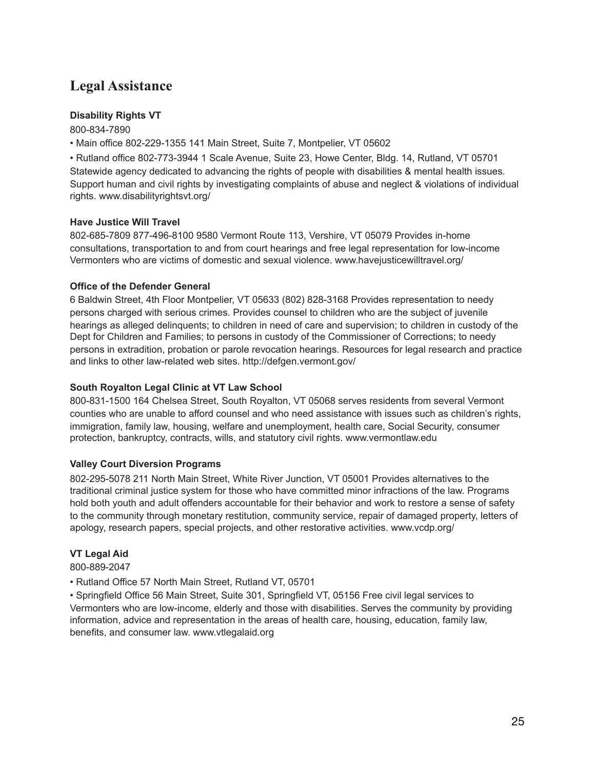## **Legal Assistance**

## **Disability Rights VT**

800-834-7890

• Main office 802-229-1355 141 Main Street, Suite 7, Montpelier, VT 05602

• Rutland office 802-773-3944 1 Scale Avenue, Suite 23, Howe Center, Bldg. 14, Rutland, VT 05701 Statewide agency dedicated to advancing the rights of people with disabilities & mental health issues. Support human and civil rights by investigating complaints of abuse and neglect & violations of individual rights. www.disabilityrightsvt.org/

## **Have Justice Will Travel**

802-685-7809 877-496-8100 9580 Vermont Route 113, Vershire, VT 05079 Provides in-home consultations, transportation to and from court hearings and free legal representation for low-income Vermonters who are victims of domestic and sexual violence. www.havejusticewilltravel.org/

## **Office of the Defender General**

6 Baldwin Street, 4th Floor Montpelier, VT 05633 (802) 828-3168 Provides representation to needy persons charged with serious crimes. Provides counsel to children who are the subject of juvenile hearings as alleged delinquents; to children in need of care and supervision; to children in custody of the Dept for Children and Families; to persons in custody of the Commissioner of Corrections; to needy persons in extradition, probation or parole revocation hearings. Resources for legal research and practice and links to other law-related web sites. http://defgen.vermont.gov/

## **South Royalton Legal Clinic at VT Law School**

800-831-1500 164 Chelsea Street, South Royalton, VT 05068 serves residents from several Vermont counties who are unable to afford counsel and who need assistance with issues such as children's rights, immigration, family law, housing, welfare and unemployment, health care, Social Security, consumer protection, bankruptcy, contracts, wills, and statutory civil rights. www.vermontlaw.edu

## **Valley Court Diversion Programs**

802-295-5078 211 North Main Street, White River Junction, VT 05001 Provides alternatives to the traditional criminal justice system for those who have committed minor infractions of the law. Programs hold both youth and adult offenders accountable for their behavior and work to restore a sense of safety to the community through monetary restitution, community service, repair of damaged property, letters of apology, research papers, special projects, and other restorative activities. www.vcdp.org/

## **VT Legal Aid**

800-889-2047

• Rutland Office 57 North Main Street, Rutland VT, 05701

• Springfield Office 56 Main Street, Suite 301, Springfield VT, 05156 Free civil legal services to Vermonters who are low-income, elderly and those with disabilities. Serves the community by providing information, advice and representation in the areas of health care, housing, education, family law, benefits, and consumer law. www.vtlegalaid.org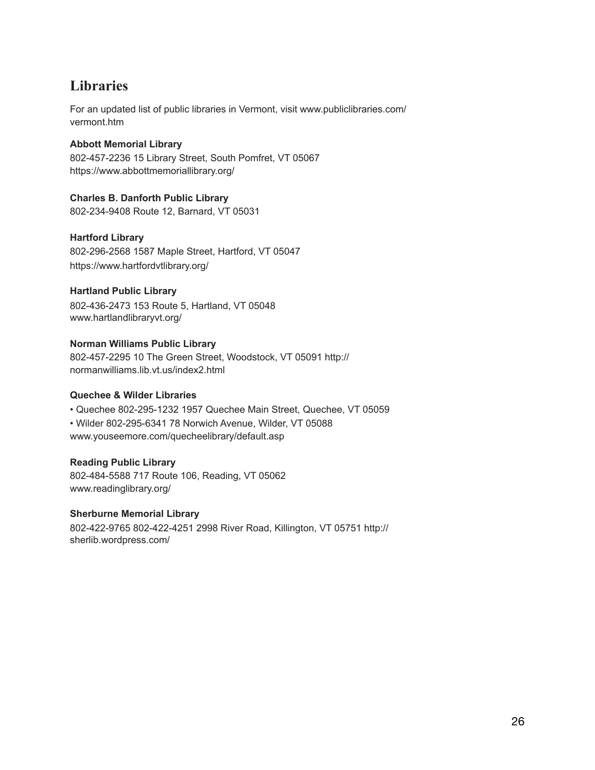## **Libraries**

For an updated list of public libraries in Vermont, visit www.publiclibraries.com/ vermont.htm

## **Abbott Memorial Library**

802-457-2236 15 Library Street, South Pomfret, VT 05067 <https://www.abbottmemoriallibrary.org/>

## **Charles B. Danforth Public Library**

802-234-9408 Route 12, Barnard, VT 05031

## **Hartford Library**

802-296-2568 1587 Maple Street, Hartford, VT 05047 <https://www.hartfordvtlibrary.org/>

## **Hartland Public Library**

802-436-2473 153 Route 5, Hartland, VT 05048 www.hartlandlibraryvt.org/

## **Norman Williams Public Library**

802-457-2295 10 The Green Street, Woodstock, VT 05091 http:// normanwilliams.lib.vt.us/index2.html

#### **Quechee & Wilder Libraries**

• Quechee 802-295-1232 1957 Quechee Main Street, Quechee, VT 05059 • Wilder 802-295-6341 78 Norwich Avenue, Wilder, VT 05088 www.youseemore.com/quecheelibrary/default.asp

#### **Reading Public Library**

802-484-5588 717 Route 106, Reading, VT 05062 www.readinglibrary.org/

#### **Sherburne Memorial Library**

802-422-9765 802-422-4251 2998 River Road, Killington, VT 05751 http:// sherlib.wordpress.com/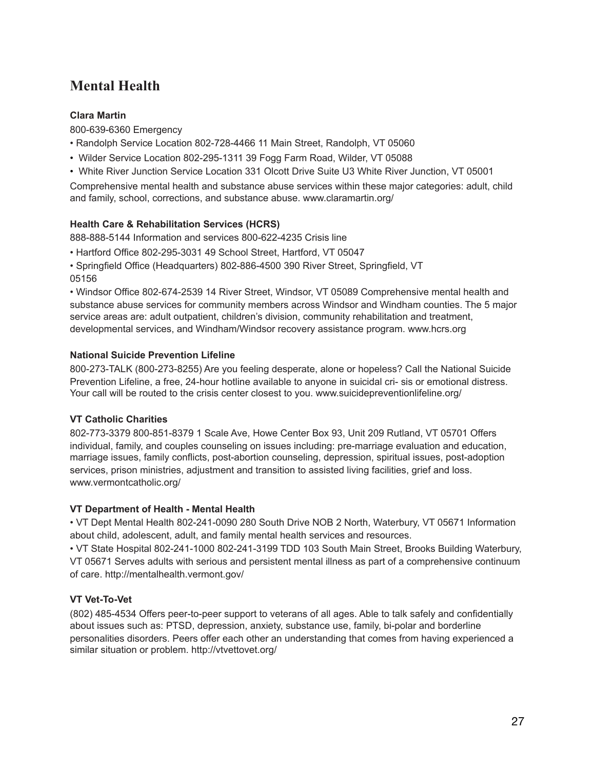## **Mental Health**

## **Clara Martin**

800-639-6360 Emergency

• Randolph Service Location 802-728-4466 11 Main Street, Randolph, VT 05060

- Wilder Service Location 802-295-1311 39 Fogg Farm Road, Wilder, VT 05088
- White River Junction Service Location 331 Olcott Drive Suite U3 White River Junction, VT 05001

Comprehensive mental health and substance abuse services within these major categories: adult, child and family, school, corrections, and substance abuse. www.claramartin.org/

## **Health Care & Rehabilitation Services (HCRS)**

888-888-5144 Information and services 800-622-4235 Crisis line

• Hartford Office 802-295-3031 49 School Street, Hartford, VT 05047

• Springfield Office (Headquarters) 802-886-4500 390 River Street, Springfield, VT 05156

• Windsor Office 802-674-2539 14 River Street, Windsor, VT 05089 Comprehensive mental health and substance abuse services for community members across Windsor and Windham counties. The 5 major service areas are: adult outpatient, children's division, community rehabilitation and treatment, developmental services, and Windham/Windsor recovery assistance program. www.hcrs.org

## **National Suicide Prevention Lifeline**

800-273-TALK (800-273-8255) Are you feeling desperate, alone or hopeless? Call the National Suicide Prevention Lifeline, a free, 24-hour hotline available to anyone in suicidal cri- sis or emotional distress. Your call will be routed to the crisis center closest to you. www.suicidepreventionlifeline.org/

## **VT Catholic Charities**

802-773-3379 800-851-8379 1 Scale Ave, Howe Center Box 93, Unit 209 Rutland, VT 05701 Offers individual, family, and couples counseling on issues including: pre-marriage evaluation and education, marriage issues, family conflicts, post-abortion counseling, depression, spiritual issues, post-adoption services, prison ministries, adjustment and transition to assisted living facilities, grief and loss. www.vermontcatholic.org/

## **VT Department of Health - Mental Health**

• VT Dept Mental Health 802-241-0090 280 South Drive NOB 2 North, Waterbury, VT 05671 Information about child, adolescent, adult, and family mental health services and resources.

• VT State Hospital 802-241-1000 802-241-3199 TDD 103 South Main Street, Brooks Building Waterbury, VT 05671 Serves adults with serious and persistent mental illness as part of a comprehensive continuum of care. http://mentalhealth.vermont.gov/

## **VT Vet-To-Vet**

(802) 485-4534 Offers peer-to-peer support to veterans of all ages. Able to talk safely and confidentially about issues such as: PTSD, depression, anxiety, substance use, family, bi-polar and borderline personalities disorders. Peers offer each other an understanding that comes from having experienced a similar situation or problem. http://vtvettovet.org/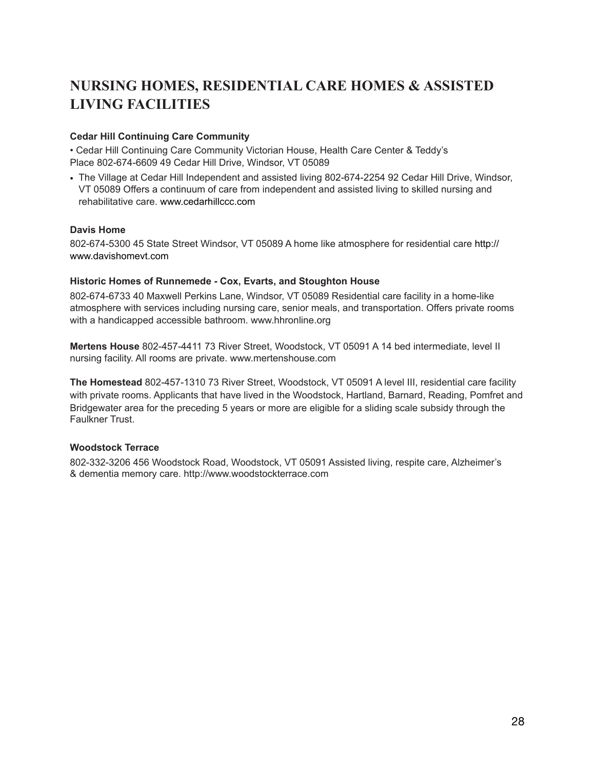## **NURSING HOMES, RESIDENTIAL CARE HOMES & ASSISTED LIVING FACILITIES**

## **Cedar Hill Continuing Care Community**

• Cedar Hill Continuing Care Community Victorian House, Health Care Center & Teddy's Place 802-674-6609 49 Cedar Hill Drive, Windsor, VT 05089

• The Village at Cedar Hill Independent and assisted living 802-674-2254 92 Cedar Hill Drive, Windsor, VT 05089 Offers a continuum of care from independent and assisted living to skilled nursing and rehabilitative care. [www.cedarhillccc.com](http://www.cedarhillccc.com)

#### **Davis Home**

802-674-5300 45 State Street Windsor, VT 05089 A home like atmosphere for residential care [http://](http://www.davishomevt.com) [www.davishomevt.com](http://www.davishomevt.com)

#### **Historic Homes of Runnemede - Cox, Evarts, and Stoughton House**

802-674-6733 40 Maxwell Perkins Lane, Windsor, VT 05089 Residential care facility in a home-like atmosphere with services including nursing care, senior meals, and transportation. Offers private rooms with a handicapped accessible bathroom. www.hhronline.org

**Mertens House** 802-457-4411 73 River Street, Woodstock, VT 05091 A 14 bed intermediate, level II nursing facility. All rooms are private. www.mertenshouse.com

**The Homestead** 802-457-1310 73 River Street, Woodstock, VT 05091 A level III, residential care facility with private rooms. Applicants that have lived in the Woodstock, Hartland, Barnard, Reading, Pomfret and Bridgewater area for the preceding 5 years or more are eligible for a sliding scale subsidy through the Faulkner Trust.

#### **Woodstock Terrace**

802-332-3206 456 Woodstock Road, Woodstock, VT 05091 Assisted living, respite care, Alzheimer's & dementia memory care. http://www.woodstockterrace.com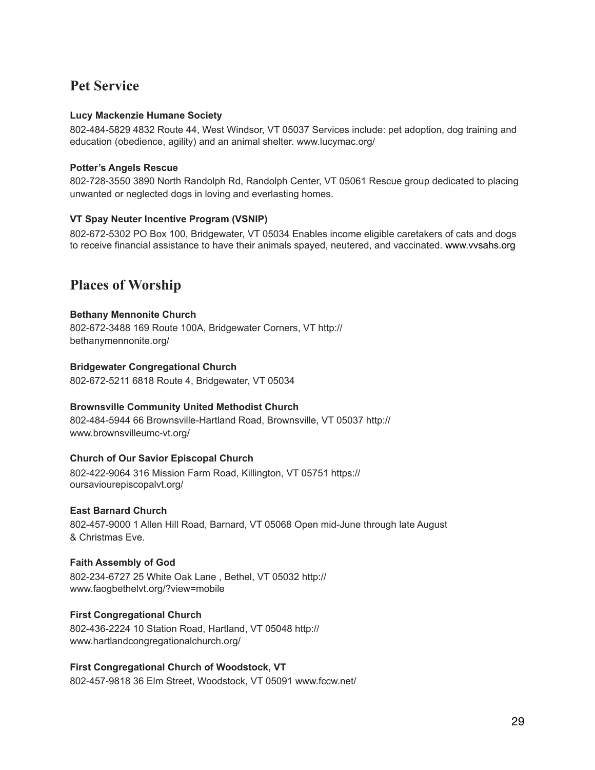## **Pet Service**

## **Lucy Mackenzie Humane Society**

802-484-5829 4832 Route 44, West Windsor, VT 05037 Services include: pet adoption, dog training and education (obedience, agility) and an animal shelter. www.lucymac.org/

## **Potter's Angels Rescue**

802-728-3550 3890 North Randolph Rd, Randolph Center, VT 05061 Rescue group dedicated to placing unwanted or neglected dogs in loving and everlasting homes.

## **VT Spay Neuter Incentive Program (VSNIP)**

802-672-5302 PO Box 100, Bridgewater, VT 05034 Enables income eligible caretakers of cats and dogs to receive financial assistance to have their animals spayed, neutered, and vaccinated. [www.vvsahs.org](http://www.vvsahs.org) 

## **Places of Worship**

## **Bethany Mennonite Church**

802-672-3488 169 Route 100A, Bridgewater Corners, VT [http://](http://bethanymennonite.org/) [bethanymennonite.org/](http://bethanymennonite.org/)

## **Bridgewater Congregational Church**

802-672-5211 6818 Route 4, Bridgewater, VT 05034

#### **Brownsville Community United Methodist Church**

802-484-5944 66 Brownsville-Hartland Road, Brownsville, VT 05037 [http://](http://www.brownsvilleumc-vt.org/) [www.brownsvilleumc-vt.org/](http://www.brownsvilleumc-vt.org/)

## **Church of Our Savior Episcopal Church**

802-422-9064 316 Mission Farm Road, Killington, VT 05751 [https://](https://oursaviourepiscopalvt.org/) [oursaviourepiscopalvt.org/](https://oursaviourepiscopalvt.org/) 

#### **East Barnard Church**

802-457-9000 1 Allen Hill Road, Barnard, VT 05068 Open mid-June through late August & Christmas Eve.

#### **Faith Assembly of God**

802-234-6727 25 White Oak Lane , Bethel, VT 05032 [http://](http://www.faogbethelvt.org/?view=mobile) [www.faogbethelvt.org/?view=mobile](http://www.faogbethelvt.org/?view=mobile)

## **First Congregational Church**

802-436-2224 10 Station Road, Hartland, VT 05048 [http://](http://www.hartlandcongregationalchurch.org/) [www.hartlandcongregationalchurch.org/](http://www.hartlandcongregationalchurch.org/) 

#### **First Congregational Church of Woodstock, VT**

802-457-9818 36 Elm Street, Woodstock, VT 05091 www.fccw.net/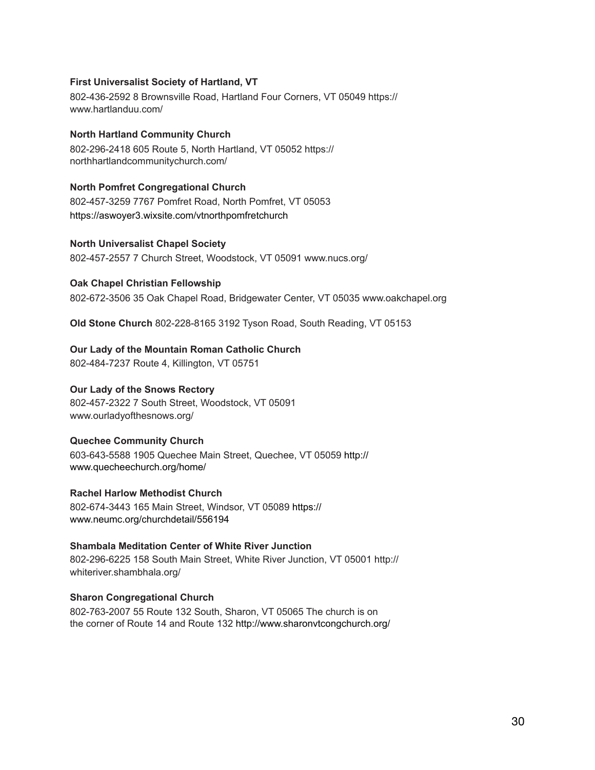#### **First Universalist Society of Hartland, VT**

802-436-2592 8 Brownsville Road, Hartland Four Corners, VT 05049 [https://](https://www.hartlanduu.com/) [www.hartlanduu.com/](https://www.hartlanduu.com/) 

## **North Hartland Community Church**

802-296-2418 605 Route 5, North Hartland, VT 05052 [https://](https://northhartlandcommunitychurch.com/) [northhartlandcommunitychurch.com/](https://northhartlandcommunitychurch.com/) 

## **North Pomfret Congregational Church**

802-457-3259 7767 Pomfret Road, North Pomfret, VT 05053 <https://aswoyer3.wixsite.com/vtnorthpomfretchurch>

## **North Universalist Chapel Society**

802-457-2557 7 Church Street, Woodstock, VT 05091 www.nucs.org/

## **Oak Chapel Christian Fellowship**

802-672-3506 35 Oak Chapel Road, Bridgewater Center, VT 05035 www.oakchapel.org

**Old Stone Church** 802-228-8165 3192 Tyson Road, South Reading, VT 05153

## **Our Lady of the Mountain Roman Catholic Church**

802-484-7237 Route 4, Killington, VT 05751

## **Our Lady of the Snows Rectory**

802-457-2322 7 South Street, Woodstock, VT 05091 www.ourladyofthesnows.org/

## **Quechee Community Church**

603-643-5588 1905 Quechee Main Street, Quechee, VT 05059 [http://](http://www.quecheechurch.org/home/) [www.quecheechurch.org/home/](http://www.quecheechurch.org/home/)

#### **Rachel Harlow Methodist Church**

802-674-3443 165 Main Street, Windsor, VT 05089 [https://](https://www.neumc.org/churchdetail/556194) [www.neumc.org/churchdetail/556194](https://www.neumc.org/churchdetail/556194)

## **Shambala Meditation Center of White River Junction**

802-296-6225 158 South Main Street, White River Junction, VT 05001 http:// whiteriver.shambhala.org/

#### **Sharon Congregational Church**

802-763-2007 55 Route 132 South, Sharon, VT 05065 The church is on the corner of Route 14 and Route 132 <http://www.sharonvtcongchurch.org/>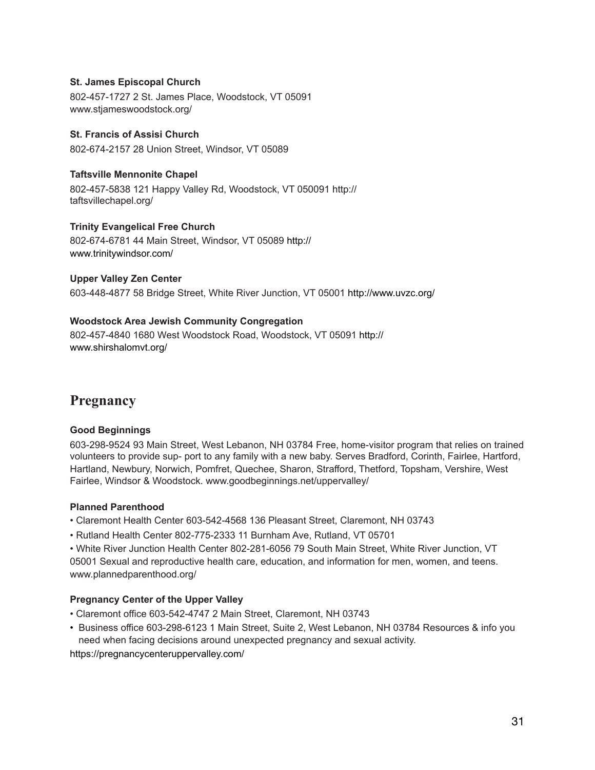#### **St. James Episcopal Church**

802-457-1727 2 St. James Place, Woodstock, VT 05091 www.stjameswoodstock.org/

## **St. Francis of Assisi Church**

802-674-2157 28 Union Street, Windsor, VT 05089

## **Taftsville Mennonite Chapel**

802-457-5838 121 Happy Valley Rd, Woodstock, VT 050091 http:// taftsvillechapel.org/

## **Trinity Evangelical Free Church**

802-674-6781 44 Main Street, Windsor, VT 05089 [http://](http://www.trinitywindsor.com/) [www.trinitywindsor.com/](http://www.trinitywindsor.com/)

#### **Upper Valley Zen Center**

603-448-4877 58 Bridge Street, White River Junction, VT 05001<http://www.uvzc.org/>

## **Woodstock Area Jewish Community Congregation**

802-457-4840 1680 West Woodstock Road, Woodstock, VT 05091 [http://](http://www.shirshalomvt.org/) [www.shirshalomvt.org/](http://www.shirshalomvt.org/)

## **Pregnancy**

#### **Good Beginnings**

603-298-9524 93 Main Street, West Lebanon, NH 03784 Free, home-visitor program that relies on trained volunteers to provide sup- port to any family with a new baby. Serves Bradford, Corinth, Fairlee, Hartford, Hartland, Newbury, Norwich, Pomfret, Quechee, Sharon, Strafford, Thetford, Topsham, Vershire, West Fairlee, Windsor & Woodstock. www.goodbeginnings.net/uppervalley/

#### **Planned Parenthood**

- Claremont Health Center 603-542-4568 136 Pleasant Street, Claremont, NH 03743
- Rutland Health Center 802-775-2333 11 Burnham Ave, Rutland, VT 05701

• White River Junction Health Center 802-281-6056 79 South Main Street, White River Junction, VT 05001 Sexual and reproductive health care, education, and information for men, women, and teens. www.plannedparenthood.org/

## **Pregnancy Center of the Upper Valley**

- Claremont office 603-542-4747 2 Main Street, Claremont, NH 03743
- Business office 603-298-6123 1 Main Street, Suite 2, West Lebanon, NH 03784 Resources & info you need when facing decisions around unexpected pregnancy and sexual activity.

<https://pregnancycenteruppervalley.com/>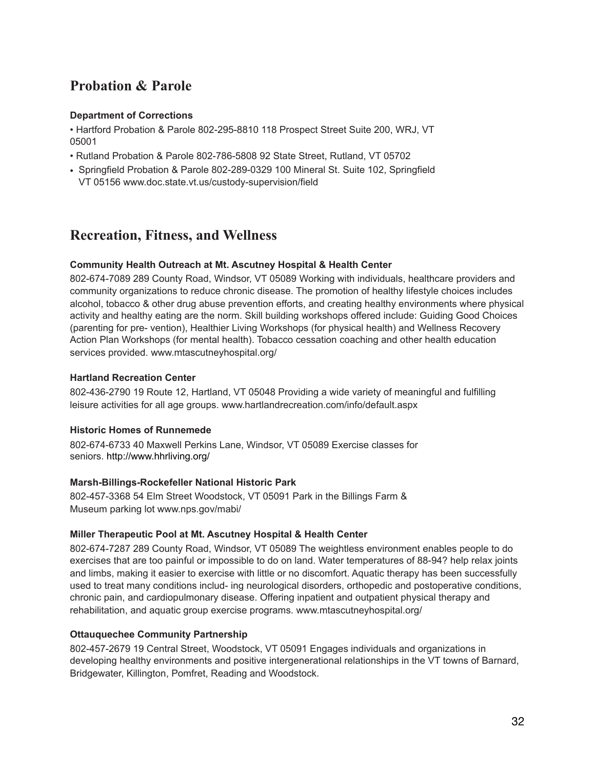## **Probation & Parole**

## **Department of Corrections**

• Hartford Probation & Parole 802-295-8810 118 Prospect Street Suite 200, WRJ, VT 05001

- Rutland Probation & Parole 802-786-5808 92 State Street, Rutland, VT 05702
- Springfield Probation & Parole 802-289-0329 100 Mineral St. Suite 102, Springfield VT 05156 www.doc.state.vt.us/custody-supervision/field

## **Recreation, Fitness, and Wellness**

## **Community Health Outreach at Mt. Ascutney Hospital & Health Center**

802-674-7089 289 County Road, Windsor, VT 05089 Working with individuals, healthcare providers and community organizations to reduce chronic disease. The promotion of healthy lifestyle choices includes alcohol, tobacco & other drug abuse prevention efforts, and creating healthy environments where physical activity and healthy eating are the norm. Skill building workshops offered include: Guiding Good Choices (parenting for pre- vention), Healthier Living Workshops (for physical health) and Wellness Recovery Action Plan Workshops (for mental health). Tobacco cessation coaching and other health education services provided. www.mtascutneyhospital.org/

## **Hartland Recreation Center**

802-436-2790 19 Route 12, Hartland, VT 05048 Providing a wide variety of meaningful and fulfilling leisure activities for all age groups. www.hartlandrecreation.com/info/default.aspx

#### **Historic Homes of Runnemede**

802-674-6733 40 Maxwell Perkins Lane, Windsor, VT 05089 Exercise classes for seniors. <http://www.hhrliving.org/>

#### **Marsh-Billings-Rockefeller National Historic Park**

802-457-3368 54 Elm Street Woodstock, VT 05091 Park in the Billings Farm & Museum parking lot www.nps.gov/mabi/

## **Miller Therapeutic Pool at Mt. Ascutney Hospital & Health Center**

802-674-7287 289 County Road, Windsor, VT 05089 The weightless environment enables people to do exercises that are too painful or impossible to do on land. Water temperatures of 88-94? help relax joints and limbs, making it easier to exercise with little or no discomfort. Aquatic therapy has been successfully used to treat many conditions includ- ing neurological disorders, orthopedic and postoperative conditions, chronic pain, and cardiopulmonary disease. Offering inpatient and outpatient physical therapy and rehabilitation, and aquatic group exercise programs. www.mtascutneyhospital.org/

#### **Ottauquechee Community Partnership**

802-457-2679 19 Central Street, Woodstock, VT 05091 Engages individuals and organizations in developing healthy environments and positive intergenerational relationships in the VT towns of Barnard, Bridgewater, Killington, Pomfret, Reading and Woodstock.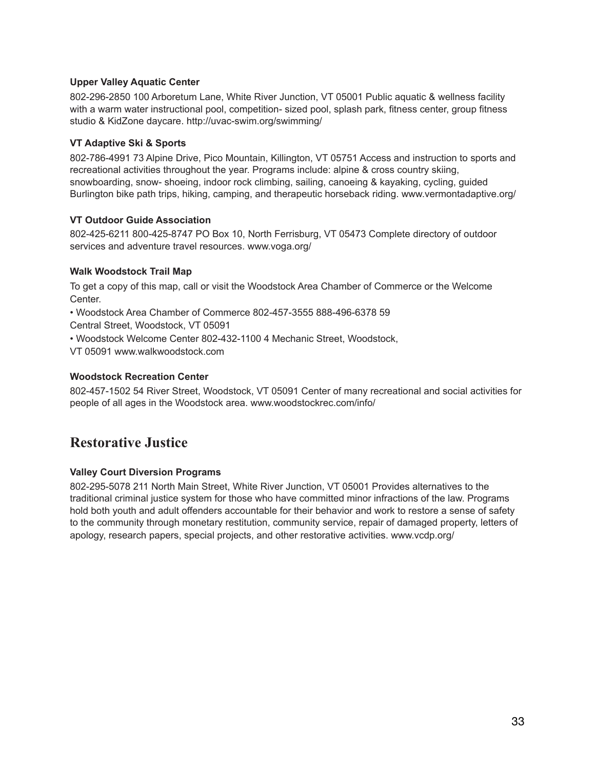#### **Upper Valley Aquatic Center**

802-296-2850 100 Arboretum Lane, White River Junction, VT 05001 Public aquatic & wellness facility with a warm water instructional pool, competition- sized pool, splash park, fitness center, group fitness studio & KidZone daycare. http://uvac-swim.org/swimming/

## **VT Adaptive Ski & Sports**

802-786-4991 73 Alpine Drive, Pico Mountain, Killington, VT 05751 Access and instruction to sports and recreational activities throughout the year. Programs include: alpine & cross country skiing, snowboarding, snow- shoeing, indoor rock climbing, sailing, canoeing & kayaking, cycling, guided Burlington bike path trips, hiking, camping, and therapeutic horseback riding. www.vermontadaptive.org/

## **VT Outdoor Guide Association**

802-425-6211 800-425-8747 PO Box 10, North Ferrisburg, VT 05473 Complete directory of outdoor services and adventure travel resources. www.voga.org/

## **Walk Woodstock Trail Map**

To get a copy of this map, call or visit the Woodstock Area Chamber of Commerce or the Welcome Center.

• Woodstock Area Chamber of Commerce 802-457-3555 888-496-6378 59

Central Street, Woodstock, VT 05091

• Woodstock Welcome Center 802-432-1100 4 Mechanic Street, Woodstock,

VT 05091 www.walkwoodstock.com

## **Woodstock Recreation Center**

802-457-1502 54 River Street, Woodstock, VT 05091 Center of many recreational and social activities for people of all ages in the Woodstock area. www.woodstockrec.com/info/

## **Restorative Justice**

## **Valley Court Diversion Programs**

802-295-5078 211 North Main Street, White River Junction, VT 05001 Provides alternatives to the traditional criminal justice system for those who have committed minor infractions of the law. Programs hold both youth and adult offenders accountable for their behavior and work to restore a sense of safety to the community through monetary restitution, community service, repair of damaged property, letters of apology, research papers, special projects, and other restorative activities. www.vcdp.org/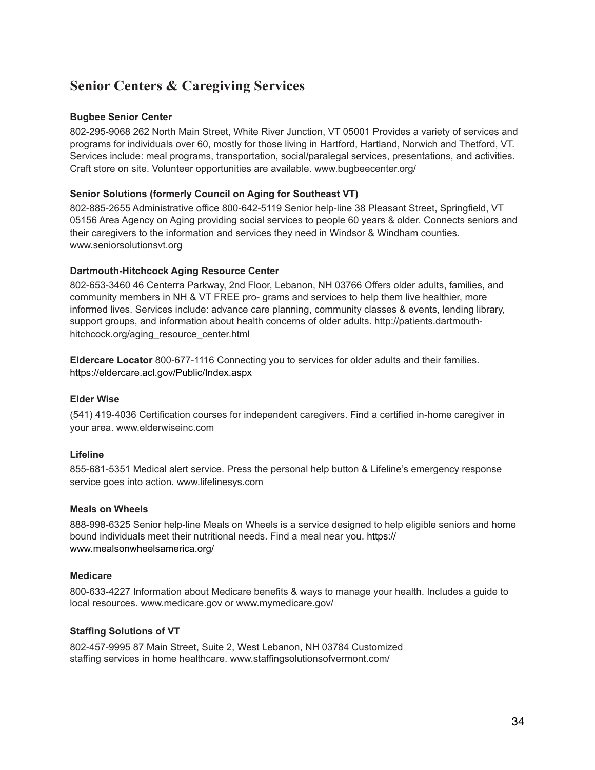## **Senior Centers & Caregiving Services**

#### **Bugbee Senior Center**

802-295-9068 262 North Main Street, White River Junction, VT 05001 Provides a variety of services and programs for individuals over 60, mostly for those living in Hartford, Hartland, Norwich and Thetford, VT. Services include: meal programs, transportation, social/paralegal services, presentations, and activities. Craft store on site. Volunteer opportunities are available. www.bugbeecenter.org/

## **Senior Solutions (formerly Council on Aging for Southeast VT)**

802-885-2655 Administrative office 800-642-5119 Senior help-line 38 Pleasant Street, Springfield, VT 05156 Area Agency on Aging providing social services to people 60 years & older. Connects seniors and their caregivers to the information and services they need in Windsor & Windham counties. www.seniorsolutionsvt.org

## **Dartmouth-Hitchcock Aging Resource Center**

802-653-3460 46 Centerra Parkway, 2nd Floor, Lebanon, NH 03766 Offers older adults, families, and community members in NH & VT FREE pro- grams and services to help them live healthier, more informed lives. Services include: advance care planning, community classes & events, lending library, support groups, and information about health concerns of older adults. http://patients.dartmouthhitchcock.org/aging\_resource\_center.html

**Eldercare Locator** 800-677-1116 Connecting you to services for older adults and their families. <https://eldercare.acl.gov/Public/Index.aspx>

## **Elder Wise**

(541) 419-4036 Certification courses for independent caregivers. Find a certified in-home caregiver in your area. www.elderwiseinc.com

## **Lifeline**

855-681-5351 Medical alert service. Press the personal help button & Lifeline's emergency response service goes into action. www.lifelinesys.com

#### **Meals on Wheels**

888-998-6325 Senior help-line Meals on Wheels is a service designed to help eligible seniors and home bound individuals meet their nutritional needs. Find a meal near you. [https://](https://www.mealsonwheelsamerica.org/) [www.mealsonwheelsamerica.org/](https://www.mealsonwheelsamerica.org/)

## **Medicare**

800-633-4227 Information about Medicare benefits & ways to manage your health. Includes a guide to local resources. www.medicare.gov or www.mymedicare.gov/

## **Staffing Solutions of VT**

802-457-9995 87 Main Street, Suite 2, West Lebanon, NH 03784 Customized staffing services in home healthcare. www.staffingsolutionsofvermont.com/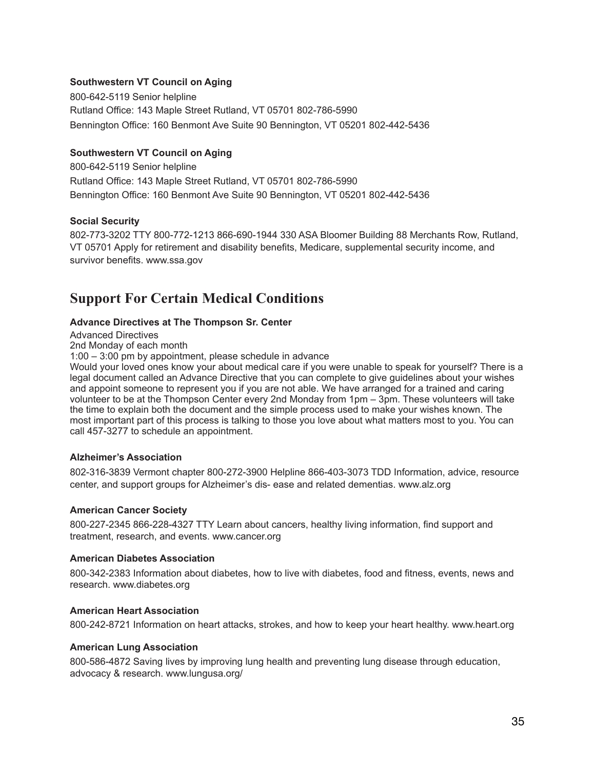#### **Southwestern VT Council on Aging**

800-642-5119 Senior helpline Rutland Office: 143 Maple Street Rutland, VT 05701 802-786-5990 Bennington Office: 160 Benmont Ave Suite 90 Bennington, VT 05201 802-442-5436

## **Southwestern VT Council on Aging**

800-642-5119 Senior helpline Rutland Office: 143 Maple Street Rutland, VT 05701 802-786-5990 Bennington Office: 160 Benmont Ave Suite 90 Bennington, VT 05201 802-442-5436

## **Social Security**

802-773-3202 TTY 800-772-1213 866-690-1944 330 ASA Bloomer Building 88 Merchants Row, Rutland, VT 05701 Apply for retirement and disability benefits, Medicare, supplemental security income, and survivor benefits. www.ssa.gov

## **Support For Certain Medical Conditions**

#### **Advance Directives at The Thompson Sr. Center**

Advanced Directives

2nd Monday of each month

1:00 – 3:00 pm by appointment, please schedule in advance

Would your loved ones know your about medical care if you were unable to speak for yourself? There is a legal document called an Advance Directive that you can complete to give guidelines about your wishes and appoint someone to represent you if you are not able. We have arranged for a trained and caring volunteer to be at the Thompson Center every 2nd Monday from 1pm – 3pm. These volunteers will take the time to explain both the document and the simple process used to make your wishes known. The most important part of this process is talking to those you love about what matters most to you. You can call 457-3277 to schedule an appointment.

#### **Alzheimer's Association**

802-316-3839 Vermont chapter 800-272-3900 Helpline 866-403-3073 TDD Information, advice, resource center, and support groups for Alzheimer's dis- ease and related dementias. www.alz.org

#### **American Cancer Society**

800-227-2345 866-228-4327 TTY Learn about cancers, healthy living information, find support and treatment, research, and events. www.cancer.org

#### **American Diabetes Association**

800-342-2383 Information about diabetes, how to live with diabetes, food and fitness, events, news and research. www.diabetes.org

#### **American Heart Association**

800-242-8721 Information on heart attacks, strokes, and how to keep your heart healthy. www.heart.org

#### **American Lung Association**

800-586-4872 Saving lives by improving lung health and preventing lung disease through education, advocacy & research. www.lungusa.org/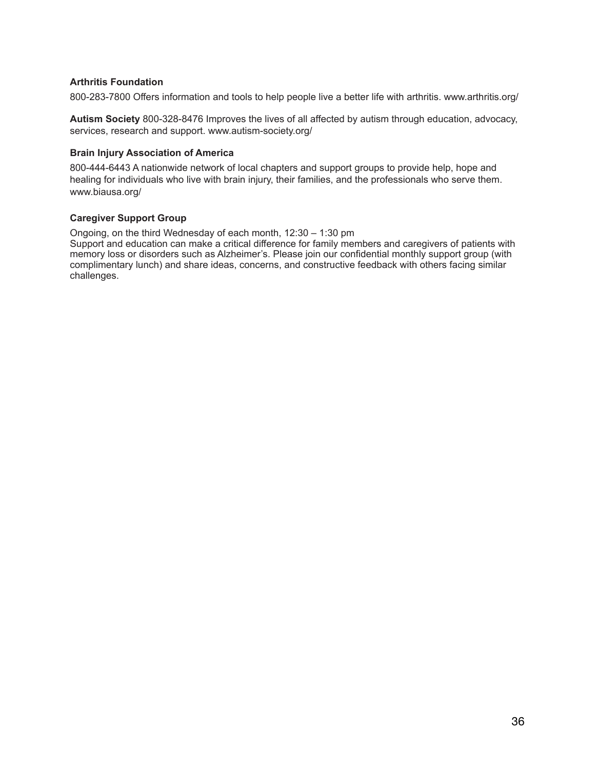#### **Arthritis Foundation**

800-283-7800 Offers information and tools to help people live a better life with arthritis. www.arthritis.org/

**Autism Society** 800-328-8476 Improves the lives of all affected by autism through education, advocacy, services, research and support. www.autism-society.org/

#### **Brain Injury Association of America**

800-444-6443 A nationwide network of local chapters and support groups to provide help, hope and healing for individuals who live with brain injury, their families, and the professionals who serve them. www.biausa.org/

#### **Caregiver Support Group**

Ongoing, on the third Wednesday of each month, 12:30 – 1:30 pm

Support and education can make a critical difference for family members and caregivers of patients with memory loss or disorders such as Alzheimer's. Please join our confidential monthly support group (with complimentary lunch) and share ideas, concerns, and constructive feedback with others facing similar challenges.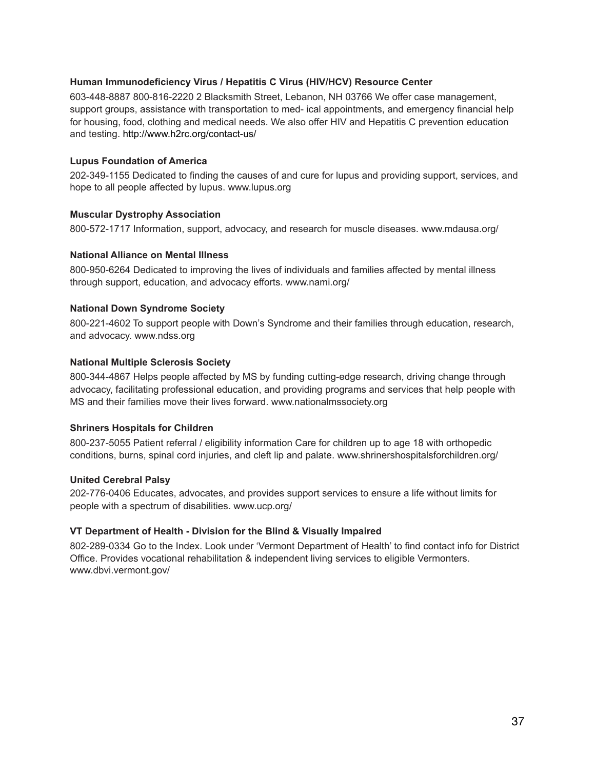#### **Human Immunodeficiency Virus / Hepatitis C Virus (HIV/HCV) Resource Center**

603-448-8887 800-816-2220 2 Blacksmith Street, Lebanon, NH 03766 We offer case management, support groups, assistance with transportation to med- ical appointments, and emergency financial help for housing, food, clothing and medical needs. We also offer HIV and Hepatitis C prevention education and testing.<http://www.h2rc.org/contact-us/>

#### **Lupus Foundation of America**

202-349-1155 Dedicated to finding the causes of and cure for lupus and providing support, services, and hope to all people affected by lupus. www.lupus.org

#### **Muscular Dystrophy Association**

800-572-1717 Information, support, advocacy, and research for muscle diseases. www.mdausa.org/

#### **National Alliance on Mental Illness**

800-950-6264 Dedicated to improving the lives of individuals and families affected by mental illness through support, education, and advocacy efforts. www.nami.org/

#### **National Down Syndrome Society**

800-221-4602 To support people with Down's Syndrome and their families through education, research, and advocacy. www.ndss.org

#### **National Multiple Sclerosis Society**

800-344-4867 Helps people affected by MS by funding cutting-edge research, driving change through advocacy, facilitating professional education, and providing programs and services that help people with MS and their families move their lives forward. www.nationalmssociety.org

#### **Shriners Hospitals for Children**

800-237-5055 Patient referral / eligibility information Care for children up to age 18 with orthopedic conditions, burns, spinal cord injuries, and cleft lip and palate. www.shrinershospitalsforchildren.org/

#### **United Cerebral Palsy**

202-776-0406 Educates, advocates, and provides support services to ensure a life without limits for people with a spectrum of disabilities. www.ucp.org/

#### **VT Department of Health - Division for the Blind & Visually Impaired**

802-289-0334 Go to the Index. Look under 'Vermont Department of Health' to find contact info for District Office. Provides vocational rehabilitation & independent living services to eligible Vermonters. www.dbvi.vermont.gov/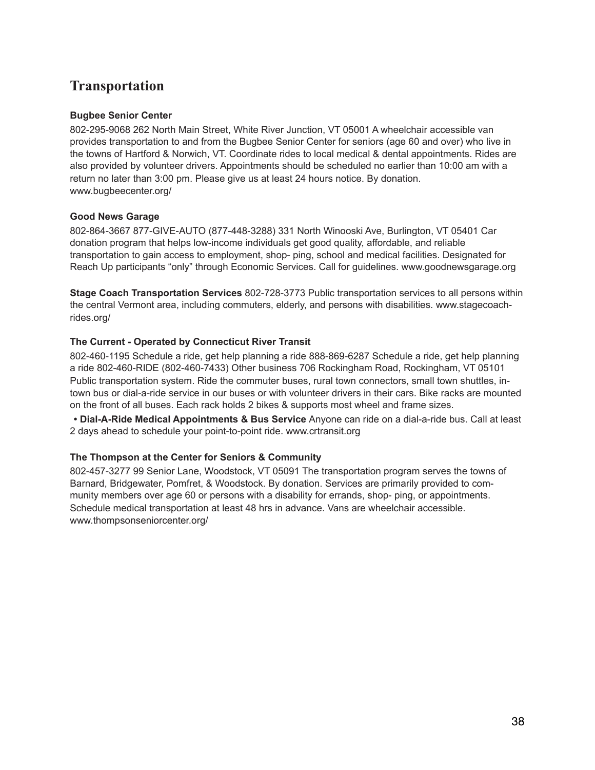## **Transportation**

#### **Bugbee Senior Center**

802-295-9068 262 North Main Street, White River Junction, VT 05001 A wheelchair accessible van provides transportation to and from the Bugbee Senior Center for seniors (age 60 and over) who live in the towns of Hartford & Norwich, VT. Coordinate rides to local medical & dental appointments. Rides are also provided by volunteer drivers. Appointments should be scheduled no earlier than 10:00 am with a return no later than 3:00 pm. Please give us at least 24 hours notice. By donation. www.bugbeecenter.org/

## **Good News Garage**

802-864-3667 877-GIVE-AUTO (877-448-3288) 331 North Winooski Ave, Burlington, VT 05401 Car donation program that helps low-income individuals get good quality, affordable, and reliable transportation to gain access to employment, shop- ping, school and medical facilities. Designated for Reach Up participants "only" through Economic Services. Call for guidelines. www.goodnewsgarage.org

**Stage Coach Transportation Services** 802-728-3773 Public transportation services to all persons within the central Vermont area, including commuters, elderly, and persons with disabilities. www.stagecoachrides.org/

## **The Current - Operated by Connecticut River Transit**

802-460-1195 Schedule a ride, get help planning a ride 888-869-6287 Schedule a ride, get help planning a ride 802-460-RIDE (802-460-7433) Other business 706 Rockingham Road, Rockingham, VT 05101 Public transportation system. Ride the commuter buses, rural town connectors, small town shuttles, intown bus or dial-a-ride service in our buses or with volunteer drivers in their cars. Bike racks are mounted on the front of all buses. Each rack holds 2 bikes & supports most wheel and frame sizes.

**• Dial-A-Ride Medical Appointments & Bus Service** Anyone can ride on a dial-a-ride bus. Call at least 2 days ahead to schedule your point-to-point ride. www.crtransit.org

## **The Thompson at the Center for Seniors & Community**

802-457-3277 99 Senior Lane, Woodstock, VT 05091 The transportation program serves the towns of Barnard, Bridgewater, Pomfret, & Woodstock. By donation. Services are primarily provided to community members over age 60 or persons with a disability for errands, shop- ping, or appointments. Schedule medical transportation at least 48 hrs in advance. Vans are wheelchair accessible. www.thompsonseniorcenter.org/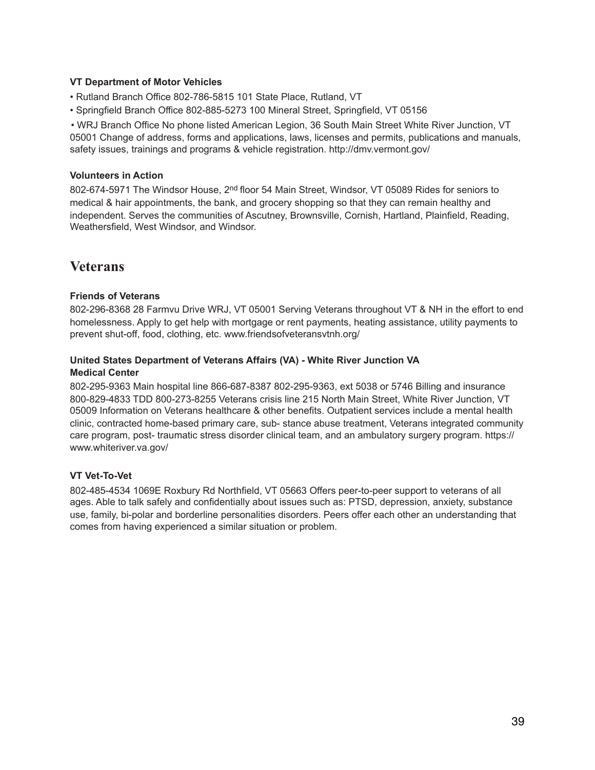#### **VT Department of Motor Vehicles**

- Rutland Branch Office 802-786-5815 101 State Place, Rutland, VT
- Springfield Branch Office 802-885-5273 100 Mineral Street, Springfield, VT 05156

• WRJ Branch Office No phone listed American Legion, 36 South Main Street White River Junction, VT 05001 Change of address, forms and applications, laws, licenses and permits, publications and manuals, safety issues, trainings and programs & vehicle registration. http://dmv.vermont.gov/

#### **Volunteers in Action**

802-674-5971 The Windsor House, 2<sup>nd</sup> floor 54 Main Street, Windsor, VT 05089 Rides for seniors to medical & hair appointments, the bank, and grocery shopping so that they can remain healthy and independent. Serves the communities of Ascutney, Brownsville, Cornish, Hartland, Plainfield, Reading, Weathersfield, West Windsor, and Windsor.

## **Veterans**

#### **Friends of Veterans**

802-296-8368 28 Farmvu Drive WRJ, VT 05001 Serving Veterans throughout VT & NH in the effort to end homelessness. Apply to get help with mortgage or rent payments, heating assistance, utility payments to prevent shut-off, food, clothing, etc. www.friendsofveteransvtnh.org/

#### **United States Department of Veterans Affairs (VA) - White River Junction VA Medical Center**

802-295-9363 Main hospital line 866-687-8387 802-295-9363, ext 5038 or 5746 Billing and insurance 800-829-4833 TDD 800-273-8255 Veterans crisis line 215 North Main Street, White River Junction, VT 05009 Information on Veterans healthcare & other benefits. Outpatient services include a mental health clinic, contracted home-based primary care, sub- stance abuse treatment, Veterans integrated community care program, post- traumatic stress disorder clinical team, and an ambulatory surgery program. [https://](https://www.whiteriver.va.gov/) [www.whiteriver.va.gov/](https://www.whiteriver.va.gov/)

#### **VT Vet-To-Vet**

802-485-4534 1069E Roxbury Rd Northfield, VT 05663 Offers peer-to-peer support to veterans of all ages. Able to talk safely and confidentially about issues such as: PTSD, depression, anxiety, substance use, family, bi-polar and borderline personalities disorders. Peers offer each other an understanding that comes from having experienced a similar situation or problem.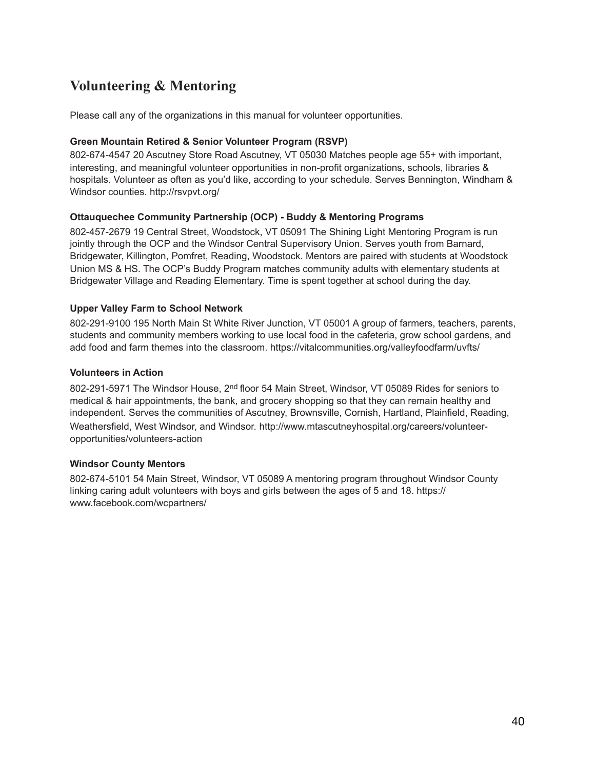## **Volunteering & Mentoring**

Please call any of the organizations in this manual for volunteer opportunities.

#### **Green Mountain Retired & Senior Volunteer Program (RSVP)**

802-674-4547 20 Ascutney Store Road Ascutney, VT 05030 Matches people age 55+ with important, interesting, and meaningful volunteer opportunities in non-profit organizations, schools, libraries & hospitals. Volunteer as often as you'd like, according to your schedule. Serves Bennington, Windham & Windsor counties. http://rsvpvt.org/

## **Ottauquechee Community Partnership (OCP) - Buddy & Mentoring Programs**

802-457-2679 19 Central Street, Woodstock, VT 05091 The Shining Light Mentoring Program is run jointly through the OCP and the Windsor Central Supervisory Union. Serves youth from Barnard, Bridgewater, Killington, Pomfret, Reading, Woodstock. Mentors are paired with students at Woodstock Union MS & HS. The OCP's Buddy Program matches community adults with elementary students at Bridgewater Village and Reading Elementary. Time is spent together at school during the day.

## **Upper Valley Farm to School Network**

802-291-9100 195 North Main St White River Junction, VT 05001 A group of farmers, teachers, parents, students and community members working to use local food in the cafeteria, grow school gardens, and add food and farm themes into the classroom. https://vitalcommunities.org/valleyfoodfarm/uvfts/

#### **Volunteers in Action**

802-291-5971 The Windsor House, 2<sup>nd</sup> floor 54 Main Street, Windsor, VT 05089 Rides for seniors to medical & hair appointments, the bank, and grocery shopping so that they can remain healthy and independent. Serves the communities of Ascutney, Brownsville, Cornish, Hartland, Plainfield, Reading, Weathersfield, West Windsor, and Windsor. [http://www.mtascutneyhospital.org/careers/volunteer](http://www.mtascutneyhospital.org/careers/volunteer-opportunities/volunteers-action)[opportunities/volunteers-action](http://www.mtascutneyhospital.org/careers/volunteer-opportunities/volunteers-action)

#### **Windsor County Mentors**

802-674-5101 54 Main Street, Windsor, VT 05089 A mentoring program throughout Windsor County linking caring adult volunteers with boys and girls between the ages of 5 and 18. [https://](https://www.facebook.com/wcpartners/) [www.facebook.com/wcpartners/](https://www.facebook.com/wcpartners/)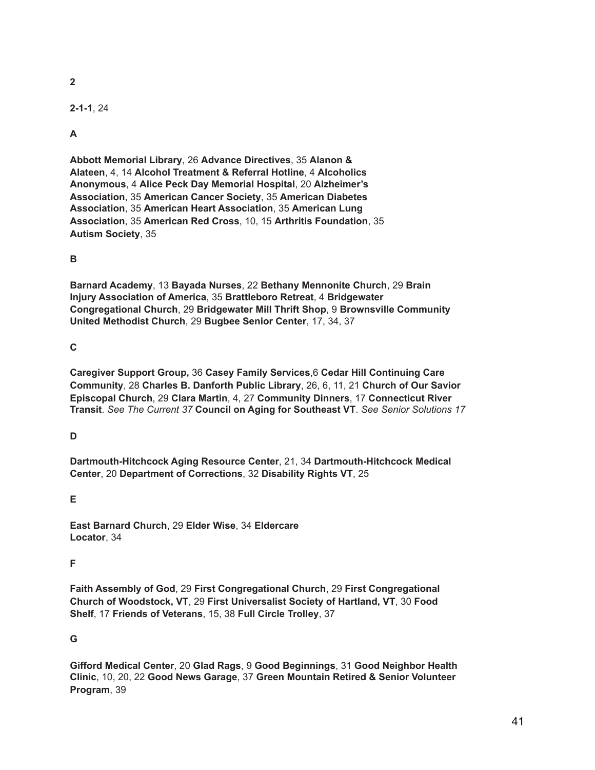**2** 

**2-1-1**, 24

## **A**

**Abbott Memorial Library**, 26 **Advance Directives**, 35 **Alanon & Alateen**, 4, 14 **Alcohol Treatment & Referral Hotline**, 4 **Alcoholics Anonymous**, 4 **Alice Peck Day Memorial Hospital**, 20 **Alzheimer's Association**, 35 **American Cancer Society**, 35 **American Diabetes Association**, 35 **American Heart Association**, 35 **American Lung Association**, 35 **American Red Cross**, 10, 15 **Arthritis Foundation**, 35 **Autism Society**, 35

## **B**

**Barnard Academy**, 13 **Bayada Nurses**, 22 **Bethany Mennonite Church**, 29 **Brain Injury Association of America**, 35 **Brattleboro Retreat**, 4 **Bridgewater Congregational Church**, 29 **Bridgewater Mill Thrift Shop**, 9 **Brownsville Community United Methodist Church**, 29 **Bugbee Senior Center**, 17, 34, 37

## **C**

**Caregiver Support Group,** 36 **Casey Family Services**,6 **Cedar Hill Continuing Care Community**, 28 **Charles B. Danforth Public Library**, 26, 6, 11, 21 **Church of Our Savior Episcopal Church**, 29 **Clara Martin**, 4, 27 **Community Dinners**, 17 **Connecticut River Transit**. *See The Current 37* **Council on Aging for Southeast VT**. *See Senior Solutions 17* 

#### **D**

**Dartmouth-Hitchcock Aging Resource Center**, 21, 34 **Dartmouth-Hitchcock Medical Center**, 20 **Department of Corrections**, 32 **Disability Rights VT**, 25

#### **E**

**East Barnard Church**, 29 **Elder Wise**, 34 **Eldercare Locator**, 34

#### **F**

**Faith Assembly of God**, 29 **First Congregational Church**, 29 **First Congregational Church of Woodstock, VT**, 29 **First Universalist Society of Hartland, VT**, 30 **Food Shelf**, 17 **Friends of Veterans**, 15, 38 **Full Circle Trolley**, 37

#### **G**

**Gifford Medical Center**, 20 **Glad Rags**, 9 **Good Beginnings**, 31 **Good Neighbor Health Clinic**, 10, 20, 22 **Good News Garage**, 37 **Green Mountain Retired & Senior Volunteer Program**, 39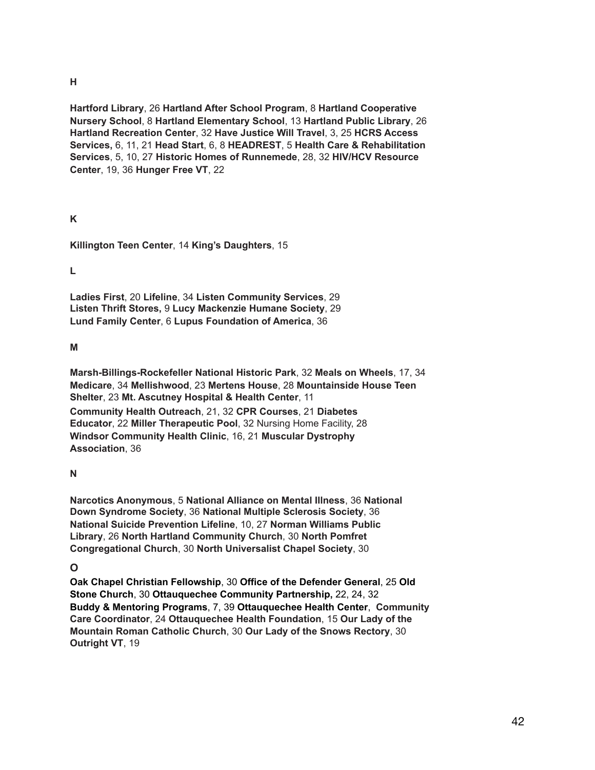#### **H**

**Hartford Library**, 26 **Hartland After School Program**, 8 **Hartland Cooperative Nursery School**, 8 **Hartland Elementary School**, 13 **Hartland Public Library**, 26 **Hartland Recreation Center**, 32 **Have Justice Will Travel**, 3, 25 **HCRS Access Services,** 6, 11, 21 **Head Start**, 6, 8 **HEADREST**, 5 **Health Care & Rehabilitation Services**, 5, 10, 27 **Historic Homes of Runnemede**, 28, 32 **HIV/HCV Resource Center**, 19, 36 **Hunger Free VT**, 22

## **K**

**Killington Teen Center**, 14 **King's Daughters**, 15

**L** 

**Ladies First**, 20 **Lifeline**, 34 **Listen Community Services**, 29 **Listen Thrift Stores,** 9 **Lucy Mackenzie Humane Society**, 29 **Lund Family Center**, 6 **Lupus Foundation of America**, 36

## **M**

**Marsh-Billings-Rockefeller National Historic Park**, 32 **Meals on Wheels**, 17, 34 **Medicare**, 34 **Mellishwood**, 23 **Mertens House**, 28 **Mountainside House Teen Shelter**, 23 **Mt. Ascutney Hospital & Health Center**, 11

**Community Health Outreach**, 21, 32 **CPR Courses**, 21 **Diabetes Educator**, 22 **Miller Therapeutic Pool**, 32 Nursing Home Facility, 28 **Windsor Community Health Clinic**, 16, 21 **Muscular Dystrophy Association**, 36

#### **N**

**Narcotics Anonymous**, 5 **National Alliance on Mental Illness**, 36 **National Down Syndrome Society**, 36 **National Multiple Sclerosis Society**, 36 **National Suicide Prevention Lifeline**, 10, 27 **Norman Williams Public Library**, 26 **North Hartland Community Church**, 30 **North Pomfret Congregational Church**, 30 **North Universalist Chapel Society**, 30

## **O**

**Oak Chapel Christian Fellowship**, 30 **Office of the Defender General**, 25 **Old Stone Church**, 30 **Ottauquechee Community Partnership,** 22, 24, 32 **Buddy & Mentoring Programs**, 7, 39 **Ottauquechee Health Center**, **Community Care Coordinator**, 24 **Ottauquechee Health Foundation**, 15 **Our Lady of the Mountain Roman Catholic Church**, 30 **Our Lady of the Snows Rectory**, 30 **Outright VT**, 19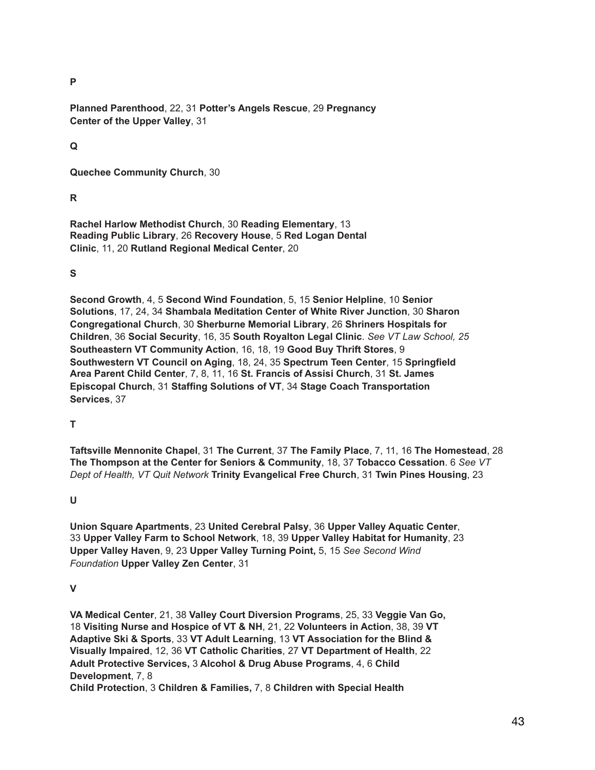**P** 

**Planned Parenthood**, 22, 31 **Potter's Angels Rescue**, 29 **Pregnancy Center of the Upper Valley**, 31

**Q** 

**Quechee Community Church**, 30

## **R**

**Rachel Harlow Methodist Church**, 30 **Reading Elementary**, 13 **Reading Public Library**, 26 **Recovery House**, 5 **Red Logan Dental Clinic**, 11, 20 **Rutland Regional Medical Center**, 20

## **S**

**Second Growth**, 4, 5 **Second Wind Foundation**, 5, 15 **Senior Helpline**, 10 **Senior Solutions**, 17, 24, 34 **Shambala Meditation Center of White River Junction**, 30 **Sharon Congregational Church**, 30 **Sherburne Memorial Library**, 26 **Shriners Hospitals for Children**, 36 **Social Security**, 16, 35 **South Royalton Legal Clinic**. *See VT Law School, 25* **Southeastern VT Community Action**, 16, 18, 19 **Good Buy Thrift Stores**, 9 **Southwestern VT Council on Aging**, 18, 24, 35 **Spectrum Teen Center**, 15 **Springfield Area Parent Child Center**, 7, 8, 11, 16 **St. Francis of Assisi Church**, 31 **St. James Episcopal Church**, 31 **Staffing Solutions of VT**, 34 **Stage Coach Transportation Services**, 37

## **T**

**Taftsville Mennonite Chapel**, 31 **The Current**, 37 **The Family Place**, 7, 11, 16 **The Homestead**, 28 **The Thompson at the Center for Seniors & Community**, 18, 37 **Tobacco Cessation**. 6 *See VT Dept of Health, VT Quit Network* **Trinity Evangelical Free Church**, 31 **Twin Pines Housing**, 23

#### **U**

**Union Square Apartments**, 23 **United Cerebral Palsy**, 36 **Upper Valley Aquatic Center**, 33 **Upper Valley Farm to School Network**, 18, 39 **Upper Valley Habitat for Humanity**, 23 **Upper Valley Haven**, 9, 23 **Upper Valley Turning Point,** 5, 15 *See Second Wind Foundation* **Upper Valley Zen Center**, 31

#### **V**

**VA Medical Center**, 21, 38 **Valley Court Diversion Programs**, 25, 33 **Veggie Van Go,**  18 **Visiting Nurse and Hospice of VT & NH**, 21, 22 **Volunteers in Action**, 38, 39 **VT Adaptive Ski & Sports**, 33 **VT Adult Learning**, 13 **VT Association for the Blind & Visually Impaired**, 12, 36 **VT Catholic Charities**, 27 **VT Department of Health**, 22 **Adult Protective Services,** 3 **Alcohol & Drug Abuse Programs**, 4, 6 **Child Development**, 7, 8 **Child Protection**, 3 **Children & Families,** 7, 8 **Children with Special Health**